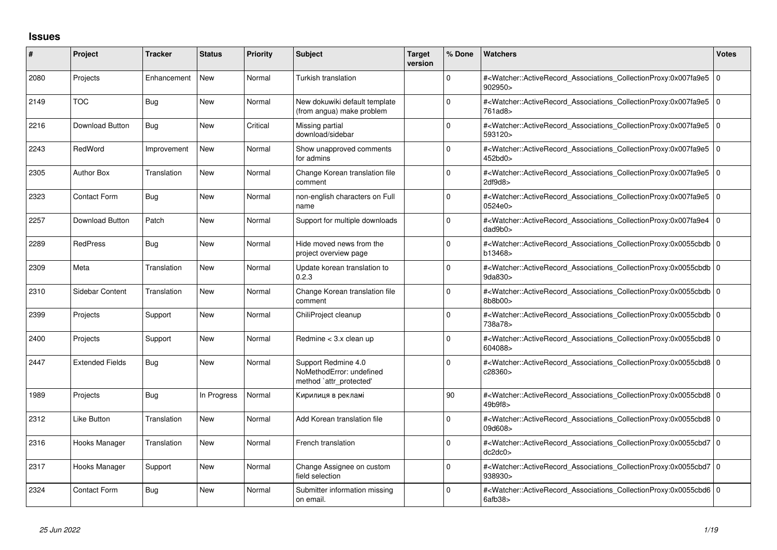## **Issues**

| #    | Project                | <b>Tracker</b> | <b>Status</b> | <b>Priority</b> | <b>Subject</b>                                                             | <b>Target</b><br>version | % Done       | <b>Watchers</b>                                                                                                                                          | <b>Votes</b> |
|------|------------------------|----------------|---------------|-----------------|----------------------------------------------------------------------------|--------------------------|--------------|----------------------------------------------------------------------------------------------------------------------------------------------------------|--------------|
| 2080 | Projects               | Enhancement    | <b>New</b>    | Normal          | Turkish translation                                                        |                          | $\Omega$     | # <watcher::activerecord_associations_collectionproxy:0x007fa9e5 0<br="">902950&gt;</watcher::activerecord_associations_collectionproxy:0x007fa9e5>      |              |
| 2149 | <b>TOC</b>             | <b>Bug</b>     | <b>New</b>    | Normal          | New dokuwiki default template<br>(from angua) make problem                 |                          | $\Omega$     | # <watcher::activerecord 0<br="" associations="" collectionproxy:0x007fa9e5=""  ="">761ad8&gt;</watcher::activerecord>                                   |              |
| 2216 | <b>Download Button</b> | Bug            | <b>New</b>    | Critical        | Missing partial<br>download/sidebar                                        |                          | <sup>0</sup> | # <watcher::activerecord_associations_collectionproxy:0x007fa9e5 0<br=""  ="">593120&gt;</watcher::activerecord_associations_collectionproxy:0x007fa9e5> |              |
| 2243 | RedWord                | Improvement    | <b>New</b>    | Normal          | Show unapproved comments<br>for admins                                     |                          | $\Omega$     | # <watcher::activerecord 0<br="" associations="" collectionproxy:0x007fa9e5=""  ="">452bd0&gt;</watcher::activerecord>                                   |              |
| 2305 | <b>Author Box</b>      | Translation    | <b>New</b>    | Normal          | Change Korean translation file<br>comment                                  |                          | $\Omega$     | # <watcher::activerecord_associations_collectionproxy:0x007fa9e5 0<br=""  ="">2df9d8&gt;</watcher::activerecord_associations_collectionproxy:0x007fa9e5> |              |
| 2323 | <b>Contact Form</b>    | Bug            | <b>New</b>    | Normal          | non-english characters on Full<br>name                                     |                          | 0            | # <watcher::activerecord 0<br="" associations="" collectionproxy:0x007fa9e5=""  ="">0524e0&gt;</watcher::activerecord>                                   |              |
| 2257 | Download Button        | Patch          | <b>New</b>    | Normal          | Support for multiple downloads                                             |                          | 0            | # <watcher::activerecord 0<br="" associations="" collectionproxy:0x007fa9e4=""  ="">dad9b0&gt;</watcher::activerecord>                                   |              |
| 2289 | <b>RedPress</b>        | Bug            | <b>New</b>    | Normal          | Hide moved news from the<br>project overview page                          |                          | $\Omega$     | # <watcher::activerecord 0<br="" associations="" collectionproxy:0x0055cbdb=""  ="">b13468&gt;</watcher::activerecord>                                   |              |
| 2309 | Meta                   | Translation    | <b>New</b>    | Normal          | Update korean translation to<br>0.2.3                                      |                          | <sup>0</sup> | # <watcher::activerecord_associations_collectionproxy:0x0055cbdb 0<br="">9da830&gt;</watcher::activerecord_associations_collectionproxy:0x0055cbdb>      |              |
| 2310 | Sidebar Content        | Translation    | <b>New</b>    | Normal          | Change Korean translation file<br>comment                                  |                          | $\Omega$     | # <watcher::activerecord 0<br="" associations="" collectionproxy:0x0055cbdb=""  ="">8b8b00&gt;</watcher::activerecord>                                   |              |
| 2399 | Projects               | Support        | <b>New</b>    | Normal          | ChiliProject cleanup                                                       |                          | 0            | # <watcher::activerecord 0<br="" associations="" collectionproxy:0x0055cbdb=""  ="">738a78&gt;</watcher::activerecord>                                   |              |
| 2400 | Projects               | Support        | <b>New</b>    | Normal          | Redmine < 3.x clean up                                                     |                          | $\Omega$     | # <watcher::activerecord_associations_collectionproxy:0x0055cbd8 0<br="">604088&gt;</watcher::activerecord_associations_collectionproxy:0x0055cbd8>      |              |
| 2447 | <b>Extended Fields</b> | <b>Bug</b>     | <b>New</b>    | Normal          | Support Redmine 4.0<br>NoMethodError: undefined<br>method `attr_protected' |                          | 0            | # <watcher::activerecord_associations_collectionproxy:0x0055cbd8 0<br="">c28360&gt;</watcher::activerecord_associations_collectionproxy:0x0055cbd8>      |              |
| 1989 | Projects               | <b>Bug</b>     | In Progress   | Normal          | Кирилиця в рекламі                                                         |                          | 90           | # <watcher::activerecord_associations_collectionproxy:0x0055cbd8 0<br="">49b9f8&gt;</watcher::activerecord_associations_collectionproxy:0x0055cbd8>      |              |
| 2312 | Like Button            | Translation    | <b>New</b>    | Normal          | Add Korean translation file                                                |                          | <sup>0</sup> | # <watcher::activerecord 0<br="" associations="" collectionproxy:0x0055cbd8=""  ="">09d608&gt;</watcher::activerecord>                                   |              |
| 2316 | Hooks Manager          | Translation    | <b>New</b>    | Normal          | French translation                                                         |                          | $\Omega$     | # <watcher::activerecord_associations_collectionproxy:0x0055cbd7 0<br="">dc2dc0&gt;</watcher::activerecord_associations_collectionproxy:0x0055cbd7>      |              |
| 2317 | Hooks Manager          | Support        | <b>New</b>    | Normal          | Change Assignee on custom<br>field selection                               |                          | 0            | # <watcher::activerecord 0<br="" associations="" collectionproxy:0x0055cbd7=""  ="">938930&gt;</watcher::activerecord>                                   |              |
| 2324 | <b>Contact Form</b>    | Bug            | <b>New</b>    | Normal          | Submitter information missing<br>on email.                                 |                          | 0            | # <watcher::activerecord_associations_collectionproxy:0x0055cbd6 0<br="">6afb38&gt;</watcher::activerecord_associations_collectionproxy:0x0055cbd6>      |              |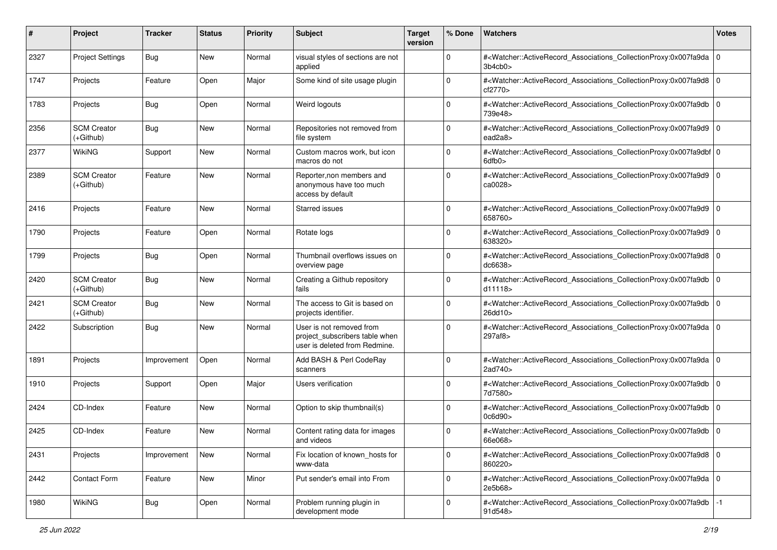| #    | Project                           | <b>Tracker</b> | <b>Status</b> | <b>Priority</b> | Subject                                                                                     | <b>Target</b><br>version | % Done      | <b>Watchers</b>                                                                                                                                           | <b>Votes</b> |
|------|-----------------------------------|----------------|---------------|-----------------|---------------------------------------------------------------------------------------------|--------------------------|-------------|-----------------------------------------------------------------------------------------------------------------------------------------------------------|--------------|
| 2327 | <b>Project Settings</b>           | Bug            | New           | Normal          | visual styles of sections are not<br>applied                                                |                          | 0           | # <watcher::activerecord_associations_collectionproxy:0x007fa9da 0<br=""  ="">3b4cb0&gt;</watcher::activerecord_associations_collectionproxy:0x007fa9da>  |              |
| 1747 | Projects                          | Feature        | Open          | Major           | Some kind of site usage plugin                                                              |                          | $\Omega$    | # <watcher::activerecord_associations_collectionproxy:0x007fa9d8 0<br="">cf2770&gt;</watcher::activerecord_associations_collectionproxy:0x007fa9d8>       |              |
| 1783 | Projects                          | Bug            | Open          | Normal          | Weird logouts                                                                               |                          | 0           | # <watcher::activerecord_associations_collectionproxy:0x007fa9db 0<br=""  ="">739e48&gt;</watcher::activerecord_associations_collectionproxy:0x007fa9db>  |              |
| 2356 | <b>SCM Creator</b><br>(+Github)   | Bug            | <b>New</b>    | Normal          | Repositories not removed from<br>file system                                                |                          | $\mathbf 0$ | # <watcher::activerecord_associations_collectionproxy:0x007fa9d9 0<br="">ead2a8&gt;</watcher::activerecord_associations_collectionproxy:0x007fa9d9>       |              |
| 2377 | WikiNG                            | Support        | <b>New</b>    | Normal          | Custom macros work, but icon<br>macros do not                                               |                          | $\Omega$    | # <watcher::activerecord_associations_collectionproxy:0x007fa9dbf 0<br=""  ="">6dfb0&gt;</watcher::activerecord_associations_collectionproxy:0x007fa9dbf> |              |
| 2389 | <b>SCM Creator</b><br>(+Github)   | Feature        | <b>New</b>    | Normal          | Reporter, non members and<br>anonymous have too much<br>access by default                   |                          | $\Omega$    | # <watcher::activerecord_associations_collectionproxy:0x007fa9d9 0<br=""  ="">ca0028&gt;</watcher::activerecord_associations_collectionproxy:0x007fa9d9>  |              |
| 2416 | Projects                          | Feature        | <b>New</b>    | Normal          | <b>Starred issues</b>                                                                       |                          | $\Omega$    | # <watcher::activerecord_associations_collectionproxy:0x007fa9d9 0<br="">658760&gt;</watcher::activerecord_associations_collectionproxy:0x007fa9d9>       |              |
| 1790 | Projects                          | Feature        | Open          | Normal          | Rotate logs                                                                                 |                          | $\Omega$    | # <watcher::activerecord_associations_collectionproxy:0x007fa9d9<br>638320&gt;</watcher::activerecord_associations_collectionproxy:0x007fa9d9<br>         | l O          |
| 1799 | Projects                          | Bug            | Open          | Normal          | Thumbnail overflows issues on<br>overview page                                              |                          | $\mathbf 0$ | # <watcher::activerecord_associations_collectionproxy:0x007fa9d8 0<br=""  ="">dc6638&gt;</watcher::activerecord_associations_collectionproxy:0x007fa9d8>  |              |
| 2420 | <b>SCM Creator</b><br>(+Github)   | Bug            | New           | Normal          | Creating a Github repository<br>fails                                                       |                          | $\mathbf 0$ | # <watcher::activerecord_associations_collectionproxy:0x007fa9db<br>d11118</watcher::activerecord_associations_collectionproxy:0x007fa9db<br>             | $\mathbf 0$  |
| 2421 | <b>SCM Creator</b><br>$(+Github)$ | Bug            | New           | Normal          | The access to Git is based on<br>projects identifier.                                       |                          | $\Omega$    | # <watcher::activerecord_associations_collectionproxy:0x007fa9db 0<br="">26dd10&gt;</watcher::activerecord_associations_collectionproxy:0x007fa9db>       |              |
| 2422 | Subscription                      | Bug            | New           | Normal          | User is not removed from<br>project_subscribers table when<br>user is deleted from Redmine. |                          | $\Omega$    | # <watcher::activerecord_associations_collectionproxy:0x007fa9da 0<br=""  ="">297af8&gt;</watcher::activerecord_associations_collectionproxy:0x007fa9da>  |              |
| 1891 | Projects                          | Improvement    | Open          | Normal          | Add BASH & Perl CodeRay<br>scanners                                                         |                          | $\Omega$    | # <watcher::activerecord_associations_collectionproxy:0x007fa9da 0<br=""  ="">2ad740&gt;</watcher::activerecord_associations_collectionproxy:0x007fa9da>  |              |
| 1910 | Projects                          | Support        | Open          | Major           | Users verification                                                                          |                          | $\mathbf 0$ | # <watcher::activerecord_associations_collectionproxy:0x007fa9db 0<br=""  ="">7d7580&gt;</watcher::activerecord_associations_collectionproxy:0x007fa9db>  |              |
| 2424 | CD-Index                          | Feature        | New           | Normal          | Option to skip thumbnail(s)                                                                 |                          | $\Omega$    | # <watcher::activerecord_associations_collectionproxy:0x007fa9db<br>0c6d90&gt;</watcher::activerecord_associations_collectionproxy:0x007fa9db<br>         | $\mathbf 0$  |
| 2425 | CD-Index                          | Feature        | New           | Normal          | Content rating data for images<br>and videos                                                |                          | $\Omega$    | # <watcher::activerecord_associations_collectionproxy:0x007fa9db 0<br="">66e068&gt;</watcher::activerecord_associations_collectionproxy:0x007fa9db>       |              |
| 2431 | Projects                          | Improvement    | New           | Normal          | Fix location of known_hosts for<br>www-data                                                 |                          | 0           | # <watcher::activerecord 0<br="" associations="" collectionproxy:0x007fa9d8="">860220&gt;</watcher::activerecord>                                         |              |
| 2442 | Contact Form                      | Feature        | New           | Minor           | Put sender's email into From                                                                |                          | $\mathbf 0$ | # <watcher::activerecord 0<br="" associations="" collectionproxy:0x007fa9da="">2e5b68&gt;</watcher::activerecord>                                         |              |
| 1980 | WikiNG                            | Bug            | Open          | Normal          | Problem running plugin in<br>development mode                                               |                          | $\Omega$    | # <watcher::activerecord_associations_collectionproxy:0x007fa9db<br>91d548&gt;</watcher::activerecord_associations_collectionproxy:0x007fa9db<br>         | $-1$         |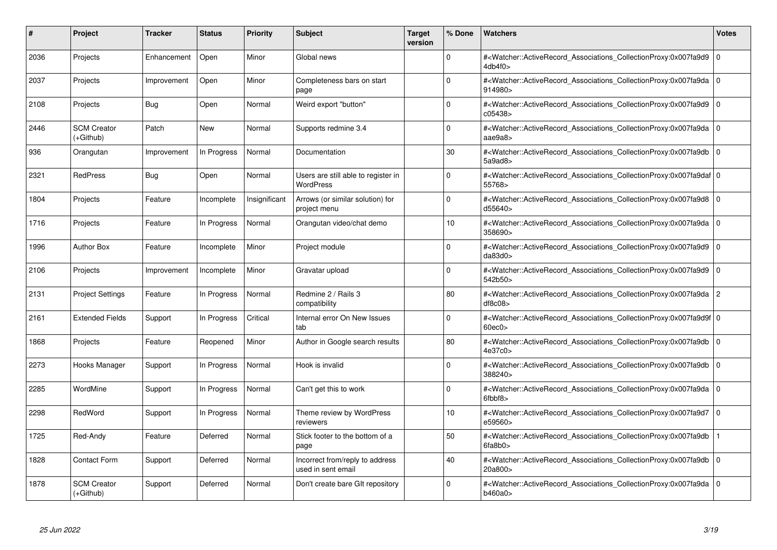| #    | Project                         | <b>Tracker</b> | <b>Status</b> | <b>Priority</b> | <b>Subject</b>                                          | <b>Target</b><br>version | % Done      | <b>Watchers</b>                                                                                                                                           | <b>Votes</b>   |
|------|---------------------------------|----------------|---------------|-----------------|---------------------------------------------------------|--------------------------|-------------|-----------------------------------------------------------------------------------------------------------------------------------------------------------|----------------|
| 2036 | Projects                        | Enhancement    | Open          | Minor           | Global news                                             |                          | $\Omega$    | # <watcher::activerecord associations="" collectionproxy:0x007fa9d9<br="">4db4f0</watcher::activerecord>                                                  | $\mathbf 0$    |
| 2037 | Projects                        | Improvement    | Open          | Minor           | Completeness bars on start<br>page                      |                          | $\Omega$    | # <watcher::activerecord 0<br="" associations="" collectionproxy:0x007fa9da=""  ="">914980&gt;</watcher::activerecord>                                    |                |
| 2108 | Projects                        | <b>Bug</b>     | Open          | Normal          | Weird export "button"                                   |                          | $\Omega$    | # <watcher::activerecord_associations_collectionproxy:0x007fa9d9  <br="">c05438&gt;</watcher::activerecord_associations_collectionproxy:0x007fa9d9>       | $\mathbf 0$    |
| 2446 | <b>SCM Creator</b><br>(+Github) | Patch          | <b>New</b>    | Normal          | Supports redmine 3.4                                    |                          | $\Omega$    | # <watcher::activerecord 0<br="" associations="" collectionproxy:0x007fa9da=""  ="">aae9a8&gt;</watcher::activerecord>                                    |                |
| 936  | Orangutan                       | Improvement    | In Progress   | Normal          | Documentation                                           |                          | 30          | # <watcher::activerecord_associations_collectionproxy:0x007fa9db<br>5a9a08</watcher::activerecord_associations_collectionproxy:0x007fa9db<br>             | $\Omega$       |
| 2321 | <b>RedPress</b>                 | Bug            | Open          | Normal          | Users are still able to register in<br><b>WordPress</b> |                          | $\Omega$    | # <watcher::activerecord_associations_collectionproxy:0x007fa9daf 0<br=""  ="">55768&gt;</watcher::activerecord_associations_collectionproxy:0x007fa9daf> |                |
| 1804 | Projects                        | Feature        | Incomplete    | Insignificant   | Arrows (or similar solution) for<br>project menu        |                          | $\Omega$    | # <watcher::activerecord 0<br="" associations="" collectionproxy:0x007fa9d8=""  ="">d55640&gt;</watcher::activerecord>                                    |                |
| 1716 | Projects                        | Feature        | In Progress   | Normal          | Orangutan video/chat demo                               |                          | 10          | # <watcher::activerecord_associations_collectionproxy:0x007fa9da 0<br=""  ="">358690&gt;</watcher::activerecord_associations_collectionproxy:0x007fa9da>  |                |
| 1996 | <b>Author Box</b>               | Feature        | Incomplete    | Minor           | Project module                                          |                          | $\Omega$    | # <watcher::activerecord associations="" collectionproxy:0x007fa9d9<br="">da83d0</watcher::activerecord>                                                  | $\mathbf 0$    |
| 2106 | Projects                        | Improvement    | Incomplete    | Minor           | Gravatar upload                                         |                          | $\mathbf 0$ | # <watcher::activerecord associations="" collectionproxy:0x007fa9d9=""  <br="">542b50&gt;</watcher::activerecord>                                         | $\mathbf 0$    |
| 2131 | <b>Project Settings</b>         | Feature        | In Progress   | Normal          | Redmine 2 / Rails 3<br>compatibility                    |                          | 80          | # <watcher::activerecord_associations_collectionproxy:0x007fa9da  <br="">df8c08&gt;</watcher::activerecord_associations_collectionproxy:0x007fa9da>       | $\overline{c}$ |
| 2161 | <b>Extended Fields</b>          | Support        | In Progress   | Critical        | Internal error On New Issues<br>tab                     |                          | $\Omega$    | # <watcher::activerecord 0<br="" associations="" collectionproxy:0x007fa9d9f=""  ="">60ec0</watcher::activerecord>                                        |                |
| 1868 | Projects                        | Feature        | Reopened      | Minor           | Author in Google search results                         |                          | 80          | # <watcher::activerecord associations="" collectionproxy:0x007fa9db=""  <br="">4e37c0&gt;</watcher::activerecord>                                         | $\mathbf 0$    |
| 2273 | Hooks Manager                   | Support        | In Progress   | Normal          | Hook is invalid                                         |                          | $\Omega$    | # <watcher::activerecord_associations_collectionproxy:0x007fa9db<br>388240&gt;</watcher::activerecord_associations_collectionproxy:0x007fa9db<br>         | $\Omega$       |
| 2285 | WordMine                        | Support        | In Progress   | Normal          | Can't get this to work                                  |                          | $\Omega$    | # <watcher::activerecord 0<br="" associations="" collectionproxy:0x007fa9da=""  ="">6fbbf8&gt;</watcher::activerecord>                                    |                |
| 2298 | RedWord                         | Support        | In Progress   | Normal          | Theme review by WordPress<br>reviewers                  |                          | 10          | # <watcher::activerecord_associations_collectionproxy:0x007fa9d7<br>e59560&gt;</watcher::activerecord_associations_collectionproxy:0x007fa9d7<br>         | $\mathbf 0$    |
| 1725 | Red-Andy                        | Feature        | Deferred      | Normal          | Stick footer to the bottom of a<br>page                 |                          | 50          | # <watcher::activerecord associations="" collectionproxy:0x007fa9db<br="">6fa8b0</watcher::activerecord>                                                  |                |
| 1828 | <b>Contact Form</b>             | Support        | Deferred      | Normal          | Incorrect from/reply to address<br>used in sent email   |                          | 40          | # <watcher::activerecord associations="" collectionproxy:0x007fa9db<br="">20a800&gt;</watcher::activerecord>                                              | 0              |
| 1878 | <b>SCM Creator</b><br>(+Github) | Support        | Deferred      | Normal          | Don't create bare GIt repository                        |                          | $\Omega$    | # <watcher::activerecord_associations_collectionproxy:0x007fa9da 0<br=""  ="">b460a0&gt;</watcher::activerecord_associations_collectionproxy:0x007fa9da>  |                |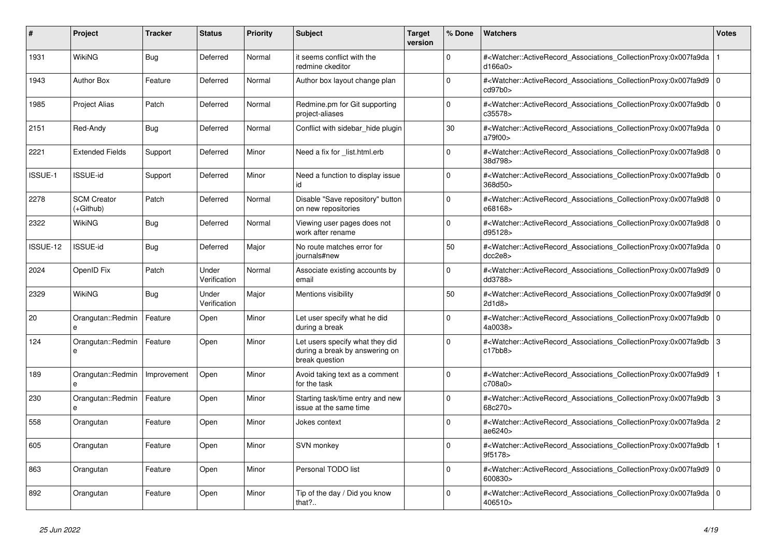| #        | <b>Project</b>                  | <b>Tracker</b> | <b>Status</b>         | <b>Priority</b> | <b>Subject</b>                                                                      | <b>Target</b><br>version | % Done   | Watchers                                                                                                                                                                | <b>Votes</b>   |
|----------|---------------------------------|----------------|-----------------------|-----------------|-------------------------------------------------------------------------------------|--------------------------|----------|-------------------------------------------------------------------------------------------------------------------------------------------------------------------------|----------------|
| 1931     | WikiNG                          | Bug            | Deferred              | Normal          | it seems conflict with the<br>redmine ckeditor                                      |                          | $\Omega$ | # <watcher::activerecord_associations_collectionproxy:0x007fa9da<br>d166a0&gt;</watcher::activerecord_associations_collectionproxy:0x007fa9da<br>                       |                |
| 1943     | <b>Author Box</b>               | Feature        | Deferred              | Normal          | Author box layout change plan                                                       |                          | $\Omega$ | # <watcher::activerecord associations="" collectionproxy:0x007fa9d9<br="">cd97b0</watcher::activerecord>                                                                | $\Omega$       |
| 1985     | <b>Project Alias</b>            | Patch          | Deferred              | Normal          | Redmine.pm for Git supporting<br>project-aliases                                    |                          | $\Omega$ | # <watcher::activerecord 0<br="" associations="" collectionproxy:0x007fa9db=""  ="">c35578&gt;</watcher::activerecord>                                                  |                |
| 2151     | Red-Andy                        | Bug            | Deferred              | Normal          | Conflict with sidebar hide plugin                                                   |                          | 30       | # <watcher::activerecord_associations_collectionproxy:0x007fa9da 0<br=""  ="">a79f00&gt;</watcher::activerecord_associations_collectionproxy:0x007fa9da>                |                |
| 2221     | <b>Extended Fields</b>          | Support        | Deferred              | Minor           | Need a fix for list.html.erb                                                        |                          | $\Omega$ | # <watcher::activerecord associations="" collectionproxy:0x007fa9d8<br="">38d798&gt;</watcher::activerecord>                                                            | $\Omega$       |
| ISSUE-1  | <b>ISSUE-id</b>                 | Support        | Deferred              | Minor           | Need a function to display issue<br>id                                              |                          | $\Omega$ | # <watcher::activerecord_associations_collectionproxy:0x007fa9db 0<br=""  ="">368d50&gt;</watcher::activerecord_associations_collectionproxy:0x007fa9db>                |                |
| 2278     | <b>SCM Creator</b><br>(+Github) | Patch          | Deferred              | Normal          | Disable "Save repository" button<br>on new repositories                             |                          | $\Omega$ | # <watcher::activerecord_associations_collectionproxy:0x007fa9d8<br>e68168&gt;</watcher::activerecord_associations_collectionproxy:0x007fa9d8<br>                       | $\mathbf 0$    |
| 2322     | WikiNG                          | Bug            | Deferred              | Normal          | Viewing user pages does not<br>work after rename                                    |                          | $\Omega$ | # <watcher::activerecord_associations_collectionproxy:0x007fa9d8 0<br=""  ="">d95128&gt;</watcher::activerecord_associations_collectionproxy:0x007fa9d8>                |                |
| ISSUE-12 | <b>ISSUE-id</b>                 | Bug            | Deferred              | Major           | No route matches error for<br>journals#new                                          |                          | 50       | # <watcher::activerecord_associations_collectionproxy:0x007fa9da 0<br=""  ="">dcc2e8</watcher::activerecord_associations_collectionproxy:0x007fa9da>                    |                |
| 2024     | OpenID Fix                      | Patch          | Under<br>Verification | Normal          | Associate existing accounts by<br>email                                             |                          | $\Omega$ | # <watcher::activerecord associations="" collectionproxy:0x007fa9d9<br="">dd3788&gt;</watcher::activerecord>                                                            | $\mathbf 0$    |
| 2329     | WikiNG                          | <b>Bug</b>     | Under<br>Verification | Major           | Mentions visibility                                                                 |                          | 50       | # <watcher::activerecord_associations_collectionproxy:0x007fa9d9f 0<br=""  ="">2d1d8</watcher::activerecord_associations_collectionproxy:0x007fa9d9f>                   |                |
| 20       | Orangutan::Redmin               | Feature        | Open                  | Minor           | Let user specify what he did<br>during a break                                      |                          | $\Omega$ | # <watcher::activerecord 0<br="" associations="" collectionproxy:0x007fa9db=""  ="">4a0038&gt;</watcher::activerecord>                                                  |                |
| 124      | Orangutan::Redmin<br>e          | Feature        | Open                  | Minor           | Let users specify what they did<br>during a break by answering on<br>break question |                          | $\Omega$ | # <watcher::activerecord_associations_collectionproxy:0x007fa9db<br><math>c17</math>bb<math>8</math></watcher::activerecord_associations_collectionproxy:0x007fa9db<br> | 3              |
| 189      | Orangutan::Redmin<br>e          | Improvement    | Open                  | Minor           | Avoid taking text as a comment<br>for the task                                      |                          | $\Omega$ | # <watcher::activerecord associations="" collectionproxy:0x007fa9d9<br="">c708a0&gt;</watcher::activerecord>                                                            |                |
| 230      | Orangutan::Redmin<br>e          | Feature        | Open                  | Minor           | Starting task/time entry and new<br>issue at the same time                          |                          | $\Omega$ | # <watcher::activerecord associations="" collectionproxy:0x007fa9db<br="">68c270&gt;</watcher::activerecord>                                                            | 3              |
| 558      | Orangutan                       | Feature        | Open                  | Minor           | Jokes context                                                                       |                          | $\Omega$ | # <watcher::activerecord associations="" collectionproxy:0x007fa9da<br="">ae6240&gt;</watcher::activerecord>                                                            | $\overline{c}$ |
| 605      | Orangutan                       | Feature        | Open                  | Minor           | <b>SVN monkey</b>                                                                   |                          | $\Omega$ | # <watcher::activerecord_associations_collectionproxy:0x007fa9db<br>9f5178&gt;</watcher::activerecord_associations_collectionproxy:0x007fa9db<br>                       |                |
| 863      | Orangutan                       | Feature        | Open                  | Minor           | Personal TODO list                                                                  |                          | $\Omega$ | # <watcher::activerecord 0<br="" associations="" collectionproxy:0x007fa9d9=""  ="">600830&gt;</watcher::activerecord>                                                  |                |
| 892      | Orangutan                       | Feature        | Open                  | Minor           | Tip of the day / Did you know<br>that?                                              |                          | $\Omega$ | # <watcher::activerecord_associations_collectionproxy:0x007fa9da<br>406510&gt;</watcher::activerecord_associations_collectionproxy:0x007fa9da<br>                       | $\mathbf 0$    |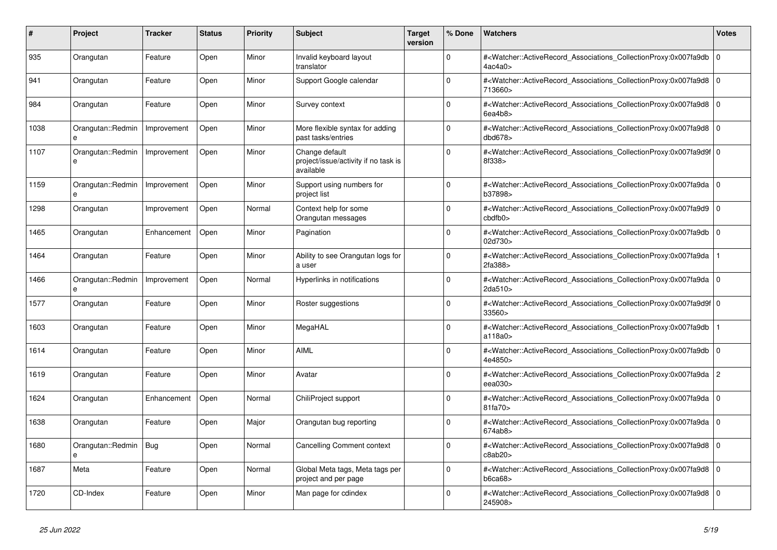| #    | <b>Project</b>                | <b>Tracker</b> | <b>Status</b> | <b>Priority</b> | <b>Subject</b>                                                      | <b>Target</b><br>version | % Done      | <b>Watchers</b>                                                                                                                                              | Votes          |
|------|-------------------------------|----------------|---------------|-----------------|---------------------------------------------------------------------|--------------------------|-------------|--------------------------------------------------------------------------------------------------------------------------------------------------------------|----------------|
| 935  | Orangutan                     | Feature        | Open          | Minor           | Invalid keyboard layout<br>translator                               |                          | $\Omega$    | # <watcher::activerecord_associations_collectionproxy:0x007fa9db<br>4ac4a0&gt;</watcher::activerecord_associations_collectionproxy:0x007fa9db<br>            | l 0            |
| 941  | Orangutan                     | Feature        | Open          | Minor           | Support Google calendar                                             |                          | $\Omega$    | # <watcher::activerecord_associations_collectionproxy:0x007fa9d8<br>713660&gt;</watcher::activerecord_associations_collectionproxy:0x007fa9d8<br>            | $\overline{0}$ |
| 984  | Orangutan                     | Feature        | Open          | Minor           | Survey context                                                      |                          | $\Omega$    | # <watcher::activerecord 0<br="" associations="" collectionproxy:0x007fa9d8=""  ="">6ea4b8</watcher::activerecord>                                           |                |
| 1038 | Orangutan::Redmin<br>$\theta$ | Improvement    | Open          | Minor           | More flexible syntax for adding<br>past tasks/entries               |                          | $\Omega$    | # <watcher::activerecord_associations_collectionproxy:0x007fa9d8<br>dbd678</watcher::activerecord_associations_collectionproxy:0x007fa9d8<br>                | l 0            |
| 1107 | Orangutan::Redmin<br>e        | Improvement    | Open          | Minor           | Change default<br>project/issue/activity if no task is<br>available |                          | $\Omega$    | # <watcher::activerecord_associations_collectionproxy:0x007fa9d9f 0<br=""  ="">8f338&gt;</watcher::activerecord_associations_collectionproxy:0x007fa9d9f>    |                |
| 1159 | Orangutan::Redmin<br>e        | Improvement    | Open          | Minor           | Support using numbers for<br>project list                           |                          | $\mathbf 0$ | # <watcher::activerecord_associations_collectionproxy:0x007fa9da 0<br=""  ="">b37898&gt;</watcher::activerecord_associations_collectionproxy:0x007fa9da>     |                |
| 1298 | Orangutan                     | Improvement    | Open          | Normal          | Context help for some<br>Orangutan messages                         |                          | $\Omega$    | # <watcher::activerecord_associations_collectionproxy:0x007fa9d9<br>cbdfb0<sub>&gt;</sub></watcher::activerecord_associations_collectionproxy:0x007fa9d9<br> | $\overline{0}$ |
| 1465 | Orangutan                     | Enhancement    | Open          | Minor           | Pagination                                                          |                          | $\Omega$    | # <watcher::activerecord_associations_collectionproxy:0x007fa9db<br>02d730&gt;</watcher::activerecord_associations_collectionproxy:0x007fa9db<br>            | 0 I            |
| 1464 | Orangutan                     | Feature        | Open          | Minor           | Ability to see Orangutan logs for<br>a user                         |                          | $\mathbf 0$ | # <watcher::activerecord associations="" collectionproxy:0x007fa9da<br="">2fa388&gt;</watcher::activerecord>                                                 |                |
| 1466 | Orangutan::Redmin<br>e        | Improvement    | Open          | Normal          | Hyperlinks in notifications                                         |                          | $\Omega$    | # <watcher::activerecord_associations_collectionproxy:0x007fa9da<br>2da510&gt;</watcher::activerecord_associations_collectionproxy:0x007fa9da<br>            | $\overline{0}$ |
| 1577 | Orangutan                     | Feature        | Open          | Minor           | Roster suggestions                                                  |                          | $\Omega$    | # <watcher::activerecord 0<br="" associations="" collectionproxy:0x007fa9d9f=""  ="">33560&gt;</watcher::activerecord>                                       |                |
| 1603 | Orangutan                     | Feature        | Open          | Minor           | MegaHAL                                                             |                          | $\Omega$    | # <watcher::activerecord_associations_collectionproxy:0x007fa9db<br>a118a0&gt;</watcher::activerecord_associations_collectionproxy:0x007fa9db<br>            |                |
| 1614 | Orangutan                     | Feature        | Open          | Minor           | <b>AIML</b>                                                         |                          | $\Omega$    | # <watcher::activerecord_associations_collectionproxy:0x007fa9db<br>4e4850&gt;</watcher::activerecord_associations_collectionproxy:0x007fa9db<br>            | ۱o             |
| 1619 | Orangutan                     | Feature        | Open          | Minor           | Avatar                                                              |                          | $\Omega$    | # <watcher::activerecord_associations_collectionproxy:0x007fa9da 2<br="">eea030&gt;</watcher::activerecord_associations_collectionproxy:0x007fa9da>          |                |
| 1624 | Orangutan                     | Enhancement    | Open          | Normal          | ChiliProject support                                                |                          | $\mathbf 0$ | # <watcher::activerecord associations="" collectionproxy:0x007fa9da<br="">81fa70&gt;</watcher::activerecord>                                                 | l O            |
| 1638 | Orangutan                     | Feature        | Open          | Major           | Orangutan bug reporting                                             |                          | $\Omega$    | # <watcher::activerecord_associations_collectionproxy:0x007fa9da<br>674ab8</watcher::activerecord_associations_collectionproxy:0x007fa9da<br>                | 0 I            |
| 1680 | Orangutan::Redmin<br>e        | Bug            | Open          | Normal          | Cancelling Comment context                                          |                          | $\Omega$    | # <watcher::activerecord associations="" collectionproxy:0x007fa9d8<br="">c8ab20&gt;</watcher::activerecord>                                                 | ۱o             |
| 1687 | Meta                          | Feature        | Open          | Normal          | Global Meta tags, Meta tags per<br>project and per page             |                          | $\mathbf 0$ | # <watcher::activerecord_associations_collectionproxy:0x007fa9d8<br>b6ca68</watcher::activerecord_associations_collectionproxy:0x007fa9d8<br>                | 0              |
| 1720 | CD-Index                      | Feature        | Open          | Minor           | Man page for cdindex                                                |                          | $\Omega$    | # <watcher::activerecord_associations_collectionproxy:0x007fa9d8<br>245908&gt;</watcher::activerecord_associations_collectionproxy:0x007fa9d8<br>            | 0 I            |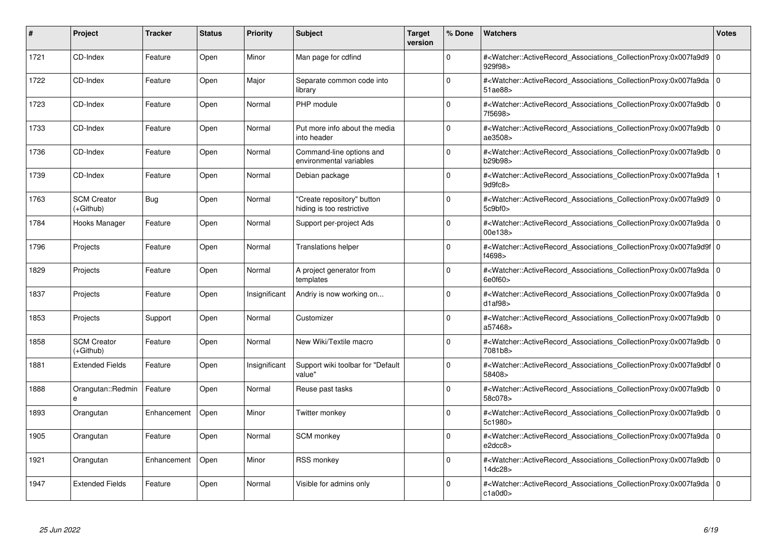| #    | Project                         | <b>Tracker</b> | <b>Status</b> | <b>Priority</b> | <b>Subject</b>                                          | <b>Target</b><br>version | % Done   | <b>Watchers</b>                                                                                                                                           | <b>Votes</b> |
|------|---------------------------------|----------------|---------------|-----------------|---------------------------------------------------------|--------------------------|----------|-----------------------------------------------------------------------------------------------------------------------------------------------------------|--------------|
| 1721 | CD-Index                        | Feature        | Open          | Minor           | Man page for cdfind                                     |                          | $\Omega$ | # <watcher::activerecord associations="" collectionproxy:0x007fa9d9<br="">929f98&gt;</watcher::activerecord>                                              | $\mathbf 0$  |
| 1722 | CD-Index                        | Feature        | Open          | Major           | Separate common code into<br>library                    |                          | $\Omega$ | # <watcher::activerecord 0<br="" associations="" collectionproxy:0x007fa9da=""  ="">51ae88&gt;</watcher::activerecord>                                    |              |
| 1723 | CD-Index                        | Feature        | Open          | Normal          | PHP module                                              |                          | $\Omega$ | # <watcher::activerecord_associations_collectionproxy:0x007fa9db<br>7f5698&gt;</watcher::activerecord_associations_collectionproxy:0x007fa9db<br>         | $\Omega$     |
| 1733 | CD-Index                        | Feature        | Open          | Normal          | Put more info about the media<br>into header            |                          | $\Omega$ | # <watcher::activerecord_associations_collectionproxy:0x007fa9db 0<br="">ae3508&gt;</watcher::activerecord_associations_collectionproxy:0x007fa9db>       |              |
| 1736 | CD-Index                        | Feature        | Open          | Normal          | Command-line options and<br>environmental variables     |                          | $\Omega$ | # <watcher::activerecord_associations_collectionproxy:0x007fa9db<br>b29b98&gt;</watcher::activerecord_associations_collectionproxy:0x007fa9db<br>         | $\mathbf 0$  |
| 1739 | CD-Index                        | Feature        | Open          | Normal          | Debian package                                          |                          | $\Omega$ | # <watcher::activerecord_associations_collectionproxy:0x007fa9da<br>9d9fc8</watcher::activerecord_associations_collectionproxy:0x007fa9da<br>             |              |
| 1763 | <b>SCM Creator</b><br>(+Github) | Bug            | Open          | Normal          | "Create repository" button<br>hiding is too restrictive |                          | $\Omega$ | # <watcher::activerecord associations="" collectionproxy:0x007fa9d9<br="">5c9bf0</watcher::activerecord>                                                  | $\mathbf 0$  |
| 1784 | Hooks Manager                   | Feature        | Open          | Normal          | Support per-project Ads                                 |                          | $\Omega$ | # <watcher::activerecord_associations_collectionproxy:0x007fa9da 0<br=""  ="">00e138&gt;</watcher::activerecord_associations_collectionproxy:0x007fa9da>  |              |
| 1796 | Projects                        | Feature        | Open          | Normal          | <b>Translations helper</b>                              |                          | $\Omega$ | # <watcher::activerecord 0<br="" associations="" collectionproxy:0x007fa9d9f="">f4698&gt;</watcher::activerecord>                                         |              |
| 1829 | Projects                        | Feature        | Open          | Normal          | A project generator from<br>templates                   |                          | $\Omega$ | # <watcher::activerecord 0<br="" associations="" collectionproxy:0x007fa9da=""  ="">6e0f60</watcher::activerecord>                                        |              |
| 1837 | Projects                        | Feature        | Open          | Insignificant   | Andriy is now working on                                |                          | $\Omega$ | # <watcher::activerecord_associations_collectionproxy:0x007fa9da 0<br=""  ="">d1af98</watcher::activerecord_associations_collectionproxy:0x007fa9da>      |              |
| 1853 | Projects                        | Support        | Open          | Normal          | Customizer                                              |                          | $\Omega$ | # <watcher::activerecord associations="" collectionproxy:0x007fa9db=""  <br="">a57468&gt;</watcher::activerecord>                                         | $\mathbf 0$  |
| 1858 | <b>SCM Creator</b><br>(+Github) | Feature        | Open          | Normal          | New Wiki/Textile macro                                  |                          | $\Omega$ | # <watcher::activerecord associations="" collectionproxy:0x007fa9db<br="">7081b8&gt;</watcher::activerecord>                                              | $\mathbf 0$  |
| 1881 | <b>Extended Fields</b>          | Feature        | Open          | Insignificant   | Support wiki toolbar for "Default<br>value"             |                          | $\Omega$ | # <watcher::activerecord_associations_collectionproxy:0x007fa9dbf 0<br=""  ="">58408&gt;</watcher::activerecord_associations_collectionproxy:0x007fa9dbf> |              |
| 1888 | Orangutan::Redmin<br>e          | Feature        | Open          | Normal          | Reuse past tasks                                        |                          | $\Omega$ | # <watcher::activerecord 0<br="" associations="" collectionproxy:0x007fa9db=""  ="">58c078&gt;</watcher::activerecord>                                    |              |
| 1893 | Orangutan                       | Enhancement    | Open          | Minor           | Twitter monkey                                          |                          | $\Omega$ | # <watcher::activerecord_associations_collectionproxy:0x007fa9db  <br="">5c1980&gt;</watcher::activerecord_associations_collectionproxy:0x007fa9db>       | $\mathbf 0$  |
| 1905 | Orangutan                       | Feature        | Open          | Normal          | <b>SCM</b> monkey                                       |                          | $\Omega$ | # <watcher::activerecord_associations_collectionproxy:0x007fa9da 0<br=""  ="">e2dcc8&gt;</watcher::activerecord_associations_collectionproxy:0x007fa9da>  |              |
| 1921 | Orangutan                       | Enhancement    | Open          | Minor           | <b>RSS monkey</b>                                       |                          | $\Omega$ | # <watcher::activerecord associations="" collectionproxy:0x007fa9db=""  <br="">14dc28&gt;</watcher::activerecord>                                         | $\mathbf 0$  |
| 1947 | <b>Extended Fields</b>          | Feature        | Open          | Normal          | Visible for admins only                                 |                          | $\Omega$ | # <watcher::activerecord_associations_collectionproxy:0x007fa9da 0<br=""  ="">c1a0d0</watcher::activerecord_associations_collectionproxy:0x007fa9da>      |              |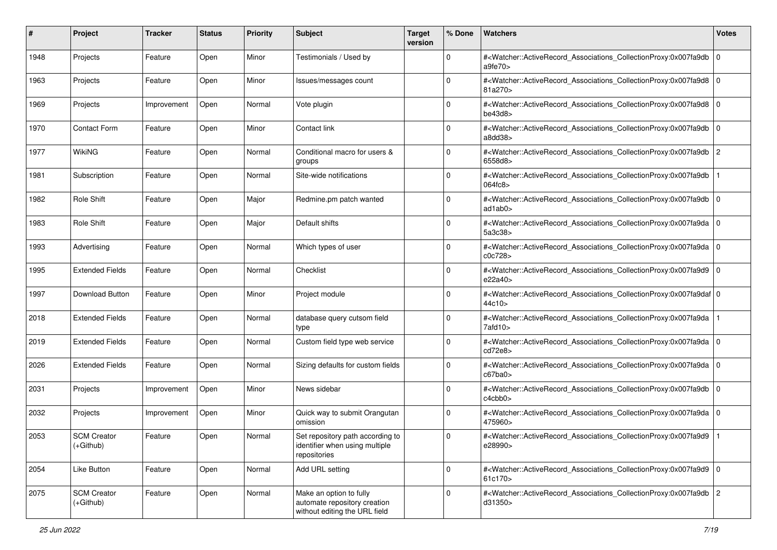| #    | Project                           | <b>Tracker</b> | <b>Status</b> | <b>Priority</b> | <b>Subject</b>                                                                           | <b>Target</b><br>version | % Done      | Watchers                                                                                                                                                 | <b>Votes</b> |
|------|-----------------------------------|----------------|---------------|-----------------|------------------------------------------------------------------------------------------|--------------------------|-------------|----------------------------------------------------------------------------------------------------------------------------------------------------------|--------------|
| 1948 | Projects                          | Feature        | Open          | Minor           | Testimonials / Used by                                                                   |                          | $\Omega$    | # <watcher::activerecord_associations_collectionproxy:0x007fa9db<br>a9fe70&gt;</watcher::activerecord_associations_collectionproxy:0x007fa9db<br>        | l 0          |
| 1963 | Projects                          | Feature        | Open          | Minor           | Issues/messages count                                                                    |                          | $\Omega$    | # <watcher::activerecord_associations_collectionproxy:0x007fa9d8<br>81a270&gt;</watcher::activerecord_associations_collectionproxy:0x007fa9d8<br>        | l O          |
| 1969 | Projects                          | Improvement    | Open          | Normal          | Vote plugin                                                                              |                          | $\Omega$    | # <watcher::activerecord_associations_collectionproxy:0x007fa9d8 0<br=""  ="">be43d8</watcher::activerecord_associations_collectionproxy:0x007fa9d8>     |              |
| 1970 | <b>Contact Form</b>               | Feature        | Open          | Minor           | Contact link                                                                             |                          | $\Omega$    | # <watcher::activerecord_associations_collectionproxy:0x007fa9db<br>a8d438</watcher::activerecord_associations_collectionproxy:0x007fa9db<br>            | l O          |
| 1977 | <b>WikiNG</b>                     | Feature        | Open          | Normal          | Conditional macro for users &<br>groups                                                  |                          | $\mathbf 0$ | # <watcher::activerecord_associations_collectionproxy:0x007fa9db<br>6558d8&gt;</watcher::activerecord_associations_collectionproxy:0x007fa9db<br>        | 2            |
| 1981 | Subscription                      | Feature        | Open          | Normal          | Site-wide notifications                                                                  |                          | $\Omega$    | # <watcher::activerecord_associations_collectionproxy:0x007fa9db<br>064fc8&gt;</watcher::activerecord_associations_collectionproxy:0x007fa9db<br>        |              |
| 1982 | Role Shift                        | Feature        | Open          | Major           | Redmine.pm patch wanted                                                                  |                          | 0           | # <watcher::activerecord_associations_collectionproxy:0x007fa9db 0<br=""  ="">ad1ab0&gt;</watcher::activerecord_associations_collectionproxy:0x007fa9db> |              |
| 1983 | <b>Role Shift</b>                 | Feature        | Open          | Major           | Default shifts                                                                           |                          | $\mathbf 0$ | # <watcher::activerecord_associations_collectionproxy:0x007fa9da<br>5a3c38&gt;</watcher::activerecord_associations_collectionproxy:0x007fa9da<br>        | ۱o           |
| 1993 | Advertising                       | Feature        | Open          | Normal          | Which types of user                                                                      |                          | $\Omega$    | # <watcher::activerecord_associations_collectionproxy:0x007fa9da 0<br=""  ="">c0c728&gt;</watcher::activerecord_associations_collectionproxy:0x007fa9da> |              |
| 1995 | <b>Extended Fields</b>            | Feature        | Open          | Normal          | Checklist                                                                                |                          | $\Omega$    | # <watcher::activerecord_associations_collectionproxy:0x007fa9d9 0<br=""  ="">e22a40&gt;</watcher::activerecord_associations_collectionproxy:0x007fa9d9> |              |
| 1997 | Download Button                   | Feature        | Open          | Minor           | Project module                                                                           |                          | $\Omega$    | # <watcher::activerecord_associations_collectionproxy:0x007fa9daf 0<br="">44c10&gt;</watcher::activerecord_associations_collectionproxy:0x007fa9daf>     |              |
| 2018 | <b>Extended Fields</b>            | Feature        | Open          | Normal          | database query cutsom field<br>type                                                      |                          | 0           | # <watcher::activerecord_associations_collectionproxy:0x007fa9da<br>7afd10&gt;</watcher::activerecord_associations_collectionproxy:0x007fa9da<br>        |              |
| 2019 | <b>Extended Fields</b>            | Feature        | Open          | Normal          | Custom field type web service                                                            |                          | $\Omega$    | # <watcher::activerecord_associations_collectionproxy:0x007fa9da 0<br=""  ="">cd72e8&gt;</watcher::activerecord_associations_collectionproxy:0x007fa9da> |              |
| 2026 | <b>Extended Fields</b>            | Feature        | Open          | Normal          | Sizing defaults for custom fields                                                        |                          | 0           | # <watcher::activerecord_associations_collectionproxy:0x007fa9da 0<br=""  ="">c67ba0&gt;</watcher::activerecord_associations_collectionproxy:0x007fa9da> |              |
| 2031 | Projects                          | Improvement    | Open          | Minor           | News sidebar                                                                             |                          | 0           | # <watcher::activerecord_associations_collectionproxy:0x007fa9db<br>c4cbb0&gt;</watcher::activerecord_associations_collectionproxy:0x007fa9db<br>        | l 0          |
| 2032 | Projects                          | Improvement    | Open          | Minor           | Quick way to submit Orangutan<br>omission                                                |                          | $\Omega$    | # <watcher::activerecord_associations_collectionproxy:0x007fa9da 0<br=""  ="">475960&gt;</watcher::activerecord_associations_collectionproxy:0x007fa9da> |              |
| 2053 | <b>SCM Creator</b><br>(+Github)   | Feature        | Open          | Normal          | Set repository path according to<br>identifier when using multiple<br>repositories       |                          | $\Omega$    | # <watcher::activerecord associations="" collectionproxy:0x007fa9d9<br="">e28990&gt;</watcher::activerecord>                                             |              |
| 2054 | Like Button                       | Feature        | Open          | Normal          | Add URL setting                                                                          |                          | $\mathbf 0$ | # <watcher::activerecord_associations_collectionproxy:0x007fa9d9 0<br=""  ="">61c170&gt;</watcher::activerecord_associations_collectionproxy:0x007fa9d9> |              |
| 2075 | <b>SCM Creator</b><br>$(+Github)$ | Feature        | Open          | Normal          | Make an option to fully<br>automate repository creation<br>without editing the URL field |                          | $\mathbf 0$ | # <watcher::activerecord_associations_collectionproxy:0x007fa9db 2<br="">d31350&gt;</watcher::activerecord_associations_collectionproxy:0x007fa9db>      |              |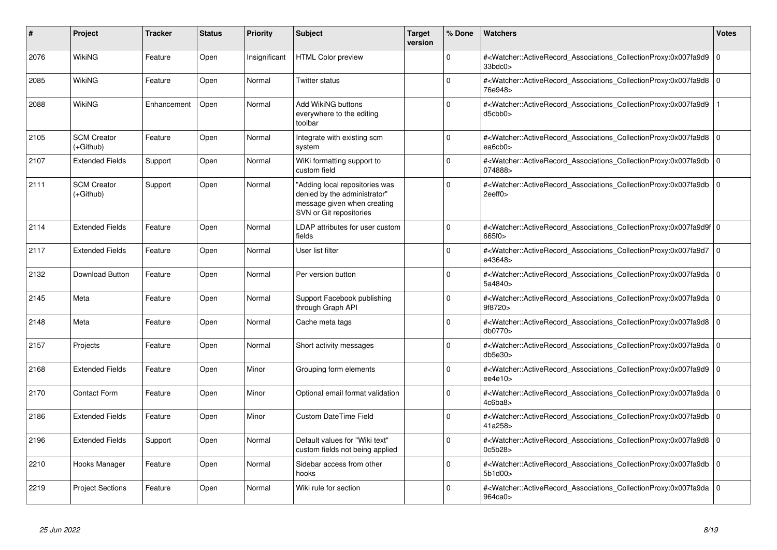| #    | <b>Project</b>                  | <b>Tracker</b> | <b>Status</b> | <b>Priority</b> | <b>Subject</b>                                                                                                           | <b>Target</b><br>version | % Done      | Watchers                                                                                                                                          | <b>Votes</b> |
|------|---------------------------------|----------------|---------------|-----------------|--------------------------------------------------------------------------------------------------------------------------|--------------------------|-------------|---------------------------------------------------------------------------------------------------------------------------------------------------|--------------|
| 2076 | WikiNG                          | Feature        | Open          | Insignificant   | <b>HTML Color preview</b>                                                                                                |                          | $\Omega$    | # <watcher::activerecord associations="" collectionproxy:0x007fa9d9<br="">33bdc0&gt;</watcher::activerecord>                                      | $\mathbf 0$  |
| 2085 | WikiNG                          | Feature        | Open          | Normal          | Twitter status                                                                                                           |                          | $\Omega$    | # <watcher::activerecord associations="" collectionproxy:0x007fa9d8<br="">76e948&gt;</watcher::activerecord>                                      | $\Omega$     |
| 2088 | <b>WikiNG</b>                   | Enhancement    | Open          | Normal          | Add WikiNG buttons<br>everywhere to the editing<br>toolbar                                                               |                          | $\Omega$    | # <watcher::activerecord associations="" collectionproxy:0x007fa9d9<br="">d5cbb0&gt;</watcher::activerecord>                                      |              |
| 2105 | <b>SCM Creator</b><br>(+Github) | Feature        | Open          | Normal          | Integrate with existing scm<br>system                                                                                    |                          | $\mathbf 0$ | # <watcher::activerecord associations="" collectionproxy:0x007fa9d8<br="">ea6cb0&gt;</watcher::activerecord>                                      | $\mathbf 0$  |
| 2107 | <b>Extended Fields</b>          | Support        | Open          | Normal          | WiKi formatting support to<br>custom field                                                                               |                          | $\Omega$    | # <watcher::activerecord associations="" collectionproxy:0x007fa9db<br="">074888&gt;</watcher::activerecord>                                      | l O          |
| 2111 | <b>SCM Creator</b><br>(+Github) | Support        | Open          | Normal          | "Adding local repositories was<br>denied by the administrator"<br>message given when creating<br>SVN or Git repositories |                          | O           | # <watcher::activerecord associations="" collectionproxy:0x007fa9db<br="">2eeff0&gt;</watcher::activerecord>                                      | $\Omega$     |
| 2114 | <b>Extended Fields</b>          | Feature        | Open          | Normal          | LDAP attributes for user custom<br>fields                                                                                |                          | $\Omega$    | # <watcher::activerecord 0<br="" associations="" collectionproxy:0x007fa9d9f=""  ="">665f0&gt;</watcher::activerecord>                            |              |
| 2117 | <b>Extended Fields</b>          | Feature        | Open          | Normal          | User list filter                                                                                                         |                          | $\Omega$    | # <watcher::activerecord_associations_collectionproxy:0x007fa9d7<br>e43648&gt;</watcher::activerecord_associations_collectionproxy:0x007fa9d7<br> | l O          |
| 2132 | Download Button                 | Feature        | Open          | Normal          | Per version button                                                                                                       |                          | O           | # <watcher::activerecord associations="" collectionproxy:0x007fa9da<br="">5a4840&gt;</watcher::activerecord>                                      | $\Omega$     |
| 2145 | Meta                            | Feature        | Open          | Normal          | Support Facebook publishing<br>through Graph API                                                                         |                          | $\Omega$    | # <watcher::activerecord_associations_collectionproxy:0x007fa9da<br>9f8720&gt;</watcher::activerecord_associations_collectionproxy:0x007fa9da<br> | $\Omega$     |
| 2148 | Meta                            | Feature        | Open          | Normal          | Cache meta tags                                                                                                          |                          | 0           | # <watcher::activerecord_associations_collectionproxy:0x007fa9d8<br>db0770&gt;</watcher::activerecord_associations_collectionproxy:0x007fa9d8<br> | $\mathbf 0$  |
| 2157 | Projects                        | Feature        | Open          | Normal          | Short activity messages                                                                                                  |                          | $\Omega$    | # <watcher::activerecord_associations_collectionproxy:0x007fa9da<br>db5e30</watcher::activerecord_associations_collectionproxy:0x007fa9da<br>     | $\mathbf 0$  |
| 2168 | <b>Extended Fields</b>          | Feature        | Open          | Minor           | Grouping form elements                                                                                                   |                          | 0           | # <watcher::activerecord associations="" collectionproxy:0x007fa9d9<br="">ee4e10<sub>&gt;</sub></watcher::activerecord>                           | $\mathbf 0$  |
| 2170 | <b>Contact Form</b>             | Feature        | Open          | Minor           | Optional email format validation                                                                                         |                          | 0           | # <watcher::activerecord associations="" collectionproxy:0x007fa9da<br="">4c6ba8</watcher::activerecord>                                          | $\mathbf 0$  |
| 2186 | <b>Extended Fields</b>          | Feature        | Open          | Minor           | Custom DateTime Field                                                                                                    |                          | $\Omega$    | # <watcher::activerecord associations="" collectionproxy:0x007fa9db<br="">41a258&gt;</watcher::activerecord>                                      | $\mathbf 0$  |
| 2196 | <b>Extended Fields</b>          | Support        | Open          | Normal          | Default values for "Wiki text"<br>custom fields not being applied                                                        |                          | $\Omega$    | # <watcher::activerecord associations="" collectionproxy:0x007fa9d8<br="">0c5b28&gt;</watcher::activerecord>                                      | $\Omega$     |
| 2210 | Hooks Manager                   | Feature        | Open          | Normal          | Sidebar access from other<br>hooks                                                                                       |                          | $\Omega$    | # <watcher::activerecord_associations_collectionproxy:0x007fa9db<br>5b1d00&gt;</watcher::activerecord_associations_collectionproxy:0x007fa9db<br> | $\Omega$     |
| 2219 | <b>Project Sections</b>         | Feature        | Open          | Normal          | Wiki rule for section                                                                                                    |                          | $\Omega$    | # <watcher::activerecord_associations_collectionproxy:0x007fa9da<br>964ca0&gt;</watcher::activerecord_associations_collectionproxy:0x007fa9da<br> | $\Omega$     |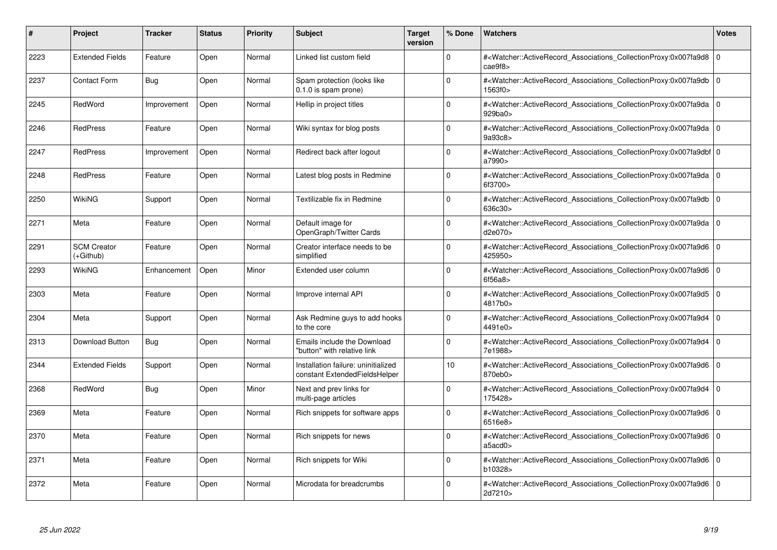| #    | Project                         | <b>Tracker</b> | <b>Status</b> | <b>Priority</b> | <b>Subject</b>                                                       | <b>Target</b><br>version | % Done      | <b>Watchers</b>                                                                                                                                           | <b>Votes</b>   |
|------|---------------------------------|----------------|---------------|-----------------|----------------------------------------------------------------------|--------------------------|-------------|-----------------------------------------------------------------------------------------------------------------------------------------------------------|----------------|
| 2223 | <b>Extended Fields</b>          | Feature        | Open          | Normal          | Linked list custom field                                             |                          | $\Omega$    | # <watcher::activerecord associations="" collectionproxy:0x007fa9d8<br="">cae9f8&gt;</watcher::activerecord>                                              | $\Omega$       |
| 2237 | <b>Contact Form</b>             | <b>Bug</b>     | Open          | Normal          | Spam protection (looks like<br>0.1.0 is spam prone)                  |                          | $\Omega$    | # <watcher::activerecord 0<br="" associations="" collectionproxy:0x007fa9db=""  ="">1563f0&gt;</watcher::activerecord>                                    |                |
| 2245 | RedWord                         | Improvement    | Open          | Normal          | Hellip in project titles                                             |                          | $\Omega$    | # <watcher::activerecord_associations_collectionproxy:0x007fa9da<br>929ba0&gt;</watcher::activerecord_associations_collectionproxy:0x007fa9da<br>         | $\Omega$       |
| 2246 | <b>RedPress</b>                 | Feature        | Open          | Normal          | Wiki syntax for blog posts                                           |                          | $\Omega$    | # <watcher::activerecord 0<br="" associations="" collectionproxy:0x007fa9da=""  ="">9a93c8&gt;</watcher::activerecord>                                    |                |
| 2247 | <b>RedPress</b>                 | Improvement    | Open          | Normal          | Redirect back after logout                                           |                          | $\Omega$    | # <watcher::activerecord_associations_collectionproxy:0x007fa9dbf 0<br=""  ="">a7990&gt;</watcher::activerecord_associations_collectionproxy:0x007fa9dbf> |                |
| 2248 | <b>RedPress</b>                 | Feature        | Open          | Normal          | Latest blog posts in Redmine                                         |                          | $\Omega$    | # <watcher::activerecord_associations_collectionproxy:0x007fa9da 0<br=""  ="">6f3700&gt;</watcher::activerecord_associations_collectionproxy:0x007fa9da>  |                |
| 2250 | WikiNG                          | Support        | Open          | Normal          | Textilizable fix in Redmine                                          |                          | $\Omega$    | # <watcher::activerecord associations="" collectionproxy:0x007fa9db<br="">636c30&gt;</watcher::activerecord>                                              | $\Omega$       |
| 2271 | Meta                            | Feature        | Open          | Normal          | Default image for<br>OpenGraph/Twitter Cards                         |                          | $\Omega$    | # <watcher::activerecord_associations_collectionproxy:0x007fa9da 0<br="">d2e070&gt;</watcher::activerecord_associations_collectionproxy:0x007fa9da>       |                |
| 2291 | <b>SCM Creator</b><br>(+Github) | Feature        | Open          | Normal          | Creator interface needs to be<br>simplified                          |                          | $\Omega$    | # <watcher::activerecord_associations_collectionproxy:0x007fa9d6<br>425950&gt;</watcher::activerecord_associations_collectionproxy:0x007fa9d6<br>         | l 0            |
| 2293 | WikiNG                          | Enhancement    | Open          | Minor           | Extended user column                                                 |                          | $\Omega$    | # <watcher::activerecord 0<br="" associations="" collectionproxy:0x007fa9d6=""  ="">6f56a8</watcher::activerecord>                                        |                |
| 2303 | Meta                            | Feature        | Open          | Normal          | Improve internal API                                                 |                          | $\Omega$    | # <watcher::activerecord_associations_collectionproxy:0x007fa9d5 0<br="">4817b0&gt;</watcher::activerecord_associations_collectionproxy:0x007fa9d5>       |                |
| 2304 | Meta                            | Support        | Open          | Normal          | Ask Redmine guys to add hooks<br>to the core                         |                          | $\Omega$    | # <watcher::activerecord_associations_collectionproxy:0x007fa9d4 0<br=""  ="">4491e0&gt;</watcher::activerecord_associations_collectionproxy:0x007fa9d4>  |                |
| 2313 | Download Button                 | Bug            | Open          | Normal          | Emails include the Download<br>"button" with relative link           |                          | $\Omega$    | # <watcher::activerecord 0<br="" associations="" collectionproxy:0x007fa9d4=""  ="">7e1988&gt;</watcher::activerecord>                                    |                |
| 2344 | <b>Extended Fields</b>          | Support        | Open          | Normal          | Installation failure: uninitialized<br>constant ExtendedFieldsHelper |                          | 10          | # <watcher::activerecord_associations_collectionproxy:0x007fa9d6 0<br="">870eb0&gt;</watcher::activerecord_associations_collectionproxy:0x007fa9d6>       |                |
| 2368 | RedWord                         | Bug            | Open          | Minor           | Next and prev links for<br>multi-page articles                       |                          | $\Omega$    | # <watcher::activerecord associations="" collectionproxy:0x007fa9d4<br="">175428&gt;</watcher::activerecord>                                              | $\overline{0}$ |
| 2369 | Meta                            | Feature        | Open          | Normal          | Rich snippets for software apps                                      |                          | $\Omega$    | # <watcher::activerecord_associations_collectionproxy:0x007fa9d6 0<br=""  ="">6516e8&gt;</watcher::activerecord_associations_collectionproxy:0x007fa9d6>  |                |
| 2370 | Meta                            | Feature        | Open          | Normal          | Rich snippets for news                                               |                          | $\Omega$    | # <watcher::activerecord_associations_collectionproxy:0x007fa9d6 0<br=""  ="">a5acd0</watcher::activerecord_associations_collectionproxy:0x007fa9d6>      |                |
| 2371 | Meta                            | Feature        | Open          | Normal          | Rich snippets for Wiki                                               |                          | $\mathbf 0$ | # <watcher::activerecord 0<br="" associations="" collectionproxy:0x007fa9d6=""  ="">b10328&gt;</watcher::activerecord>                                    |                |
| 2372 | Meta                            | Feature        | Open          | Normal          | Microdata for breadcrumbs                                            |                          | $\Omega$    | # <watcher::activerecord 0<br="" associations="" collectionproxy:0x007fa9d6=""  ="">2d7210&gt;</watcher::activerecord>                                    |                |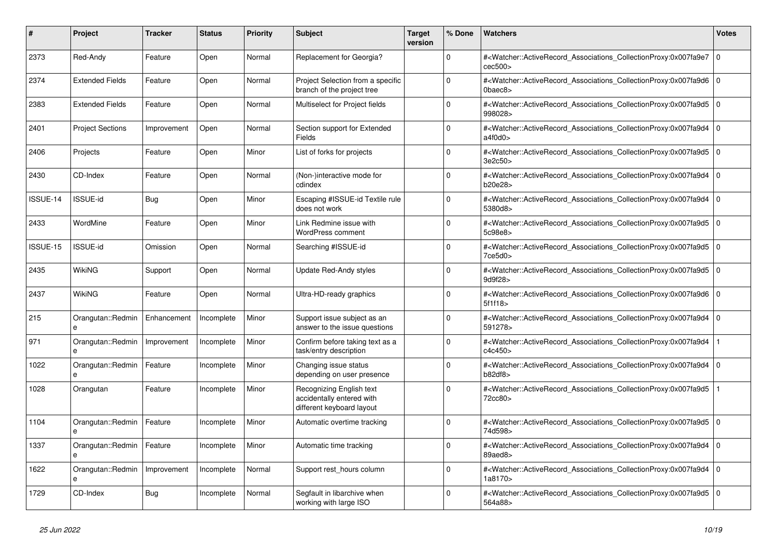| #        | <b>Project</b>                    | <b>Tracker</b> | <b>Status</b> | <b>Priority</b> | <b>Subject</b>                                                                     | <b>Target</b><br>version | % Done   | <b>Watchers</b>                                                                                                                                          | <b>Votes</b> |
|----------|-----------------------------------|----------------|---------------|-----------------|------------------------------------------------------------------------------------|--------------------------|----------|----------------------------------------------------------------------------------------------------------------------------------------------------------|--------------|
| 2373     | Red-Andy                          | Feature        | Open          | Normal          | Replacement for Georgia?                                                           |                          | $\Omega$ | # <watcher::activerecord_associations_collectionproxy:0x007fa9e7<br>cec500&gt;</watcher::activerecord_associations_collectionproxy:0x007fa9e7<br>        | l o          |
| 2374     | <b>Extended Fields</b>            | Feature        | Open          | Normal          | Project Selection from a specific<br>branch of the project tree                    |                          | $\Omega$ | # <watcher::activerecord associations="" collectionproxy:0x007fa9d6<br=""><math>0</math>baec<math>8</math></watcher::activerecord>                       | $\Omega$     |
| 2383     | <b>Extended Fields</b>            | Feature        | Open          | Normal          | Multiselect for Project fields                                                     |                          | $\Omega$ | # <watcher::activerecord_associations_collectionproxy:0x007fa9d5 0<br=""  ="">998028&gt;</watcher::activerecord_associations_collectionproxy:0x007fa9d5> |              |
| 2401     | <b>Project Sections</b>           | Improvement    | Open          | Normal          | Section support for Extended<br><b>Fields</b>                                      |                          | $\Omega$ | # <watcher::activerecord_associations_collectionproxy:0x007fa9d4<br>a4f0d0&gt;</watcher::activerecord_associations_collectionproxy:0x007fa9d4<br>        | $\Omega$     |
| 2406     | Projects                          | Feature        | Open          | Minor           | List of forks for projects                                                         |                          | $\Omega$ | # <watcher::activerecord 0<br="" associations="" collectionproxy:0x007fa9d5=""  ="">3e2c50&gt;</watcher::activerecord>                                   |              |
| 2430     | CD-Index                          | Feature        | Open          | Normal          | (Non-)interactive mode for<br>cdindex                                              |                          | $\Omega$ | # <watcher::activerecord_associations_collectionproxy:0x007fa9d4 0<br=""  ="">b20e28&gt;</watcher::activerecord_associations_collectionproxy:0x007fa9d4> |              |
| ISSUE-14 | <b>ISSUE-id</b>                   | Bug            | Open          | Minor           | Escaping #ISSUE-id Textile rule<br>does not work                                   |                          | $\Omega$ | # <watcher::activerecord_associations_collectionproxy:0x007fa9d4<br>5380d8&gt;</watcher::activerecord_associations_collectionproxy:0x007fa9d4<br>        | $\Omega$     |
| 2433     | WordMine                          | Feature        | Open          | Minor           | Link Redmine issue with<br><b>WordPress comment</b>                                |                          | $\Omega$ | # <watcher::activerecord 0<br="" associations="" collectionproxy:0x007fa9d5=""  ="">5c98e8&gt;</watcher::activerecord>                                   |              |
| ISSUE-15 | <b>ISSUE-id</b>                   | Omission       | Open          | Normal          | Searching #ISSUE-id                                                                |                          | $\Omega$ | # <watcher::activerecord_associations_collectionproxy:0x007fa9d5 0<br=""  ="">7ce5d0</watcher::activerecord_associations_collectionproxy:0x007fa9d5>     |              |
| 2435     | WikiNG                            | Support        | Open          | Normal          | Update Red-Andy styles                                                             |                          | $\Omega$ | # <watcher::activerecord_associations_collectionproxy:0x007fa9d5 0<br=""  ="">9d9f28&gt;</watcher::activerecord_associations_collectionproxy:0x007fa9d5> |              |
| 2437     | WikiNG                            | Feature        | Open          | Normal          | Ultra-HD-ready graphics                                                            |                          | $\Omega$ | # <watcher::activerecord_associations_collectionproxy:0x007fa9d6 0<br=""  ="">5f1f18&gt;</watcher::activerecord_associations_collectionproxy:0x007fa9d6> |              |
| 215      | Orangutan::Redmin                 | Enhancement    | Incomplete    | Minor           | Support issue subject as an<br>answer to the issue questions                       |                          | $\Omega$ | # <watcher::activerecord_associations_collectionproxy:0x007fa9d4 0<br=""  ="">591278&gt;</watcher::activerecord_associations_collectionproxy:0x007fa9d4> |              |
| 971      | Orangutan::Redmin<br>$\mathbf{e}$ | Improvement    | Incomplete    | Minor           | Confirm before taking text as a<br>task/entry description                          |                          | $\Omega$ | # <watcher::activerecord associations="" collectionproxy:0x007fa9d4<br="">c4c450</watcher::activerecord>                                                 |              |
| 1022     | Orangutan::Redmin<br>e            | Feature        | Incomplete    | Minor           | Changing issue status<br>depending on user presence                                |                          | $\Omega$ | # <watcher::activerecord_associations_collectionproxy:0x007fa9d4 0<br=""  ="">b82df8</watcher::activerecord_associations_collectionproxy:0x007fa9d4>     |              |
| 1028     | Orangutan                         | Feature        | Incomplete    | Minor           | Recognizing English text<br>accidentally entered with<br>different keyboard layout |                          | $\Omega$ | # <watcher::activerecord_associations_collectionproxy:0x007fa9d5<br>72cc80&gt;</watcher::activerecord_associations_collectionproxy:0x007fa9d5<br>        |              |
| 1104     | Orangutan::Redmin<br>e            | Feature        | Incomplete    | Minor           | Automatic overtime tracking                                                        |                          | $\Omega$ | # <watcher::activerecord associations="" collectionproxy:0x007fa9d5<br="">74d598&gt;</watcher::activerecord>                                             | $\mathbf 0$  |
| 1337     | Orangutan::Redmin                 | Feature        | Incomplete    | Minor           | Automatic time tracking                                                            |                          | $\Omega$ | # <watcher::activerecord_associations_collectionproxy:0x007fa9d4 0<br=""  ="">89aed8&gt;</watcher::activerecord_associations_collectionproxy:0x007fa9d4> |              |
| 1622     | Orangutan::Redmin<br>e            | Improvement    | Incomplete    | Normal          | Support rest hours column                                                          |                          | $\Omega$ | # <watcher::activerecord_associations_collectionproxy:0x007fa9d4 0<br=""  ="">1a8170&gt;</watcher::activerecord_associations_collectionproxy:0x007fa9d4> |              |
| 1729     | CD-Index                          | Bug            | Incomplete    | Normal          | Segfault in libarchive when<br>working with large ISO                              |                          | $\Omega$ | # <watcher::activerecord 0<br="" associations="" collectionproxy:0x007fa9d5=""  ="">564a88&gt;</watcher::activerecord>                                   |              |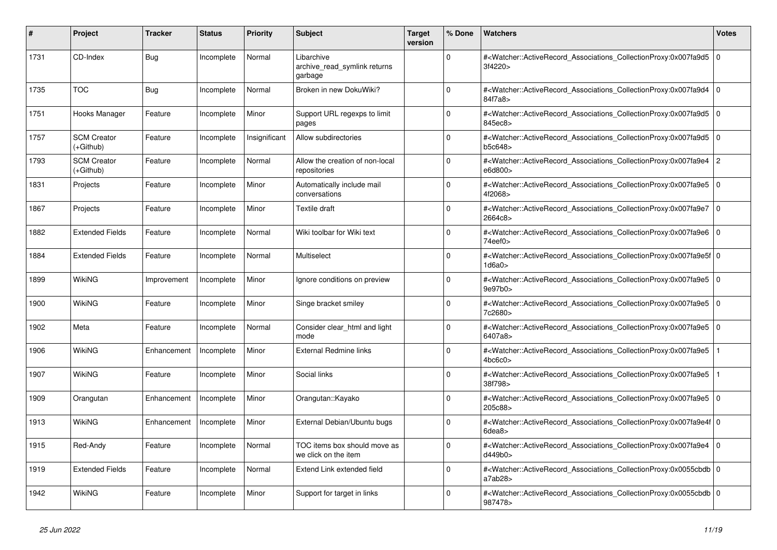| #    | Project                           | <b>Tracker</b> | <b>Status</b> | Priority      | <b>Subject</b>                                        | <b>Target</b><br>version | % Done       | <b>Watchers</b>                                                                                                                                          | Votes          |
|------|-----------------------------------|----------------|---------------|---------------|-------------------------------------------------------|--------------------------|--------------|----------------------------------------------------------------------------------------------------------------------------------------------------------|----------------|
| 1731 | CD-Index                          | Bug            | Incomplete    | Normal        | Libarchive<br>archive_read_symlink returns<br>garbage |                          | $\Omega$     | # <watcher::activerecord_associations_collectionproxy:0x007fa9d5<br>3f4220&gt;</watcher::activerecord_associations_collectionproxy:0x007fa9d5<br>        | $\overline{0}$ |
| 1735 | <b>TOC</b>                        | <b>Bug</b>     | Incomplete    | Normal        | Broken in new DokuWiki?                               |                          | 0            | # <watcher::activerecord 0<br="" associations="" collectionproxy:0x007fa9d4=""  ="">84f7a8&gt;</watcher::activerecord>                                   |                |
| 1751 | Hooks Manager                     | Feature        | Incomplete    | Minor         | Support URL regexps to limit<br>pages                 |                          | $\Omega$     | # <watcher::activerecord_associations_collectionproxy:0x007fa9d5 0<br=""  ="">845ec8&gt;</watcher::activerecord_associations_collectionproxy:0x007fa9d5> |                |
| 1757 | <b>SCM Creator</b><br>$(+Github)$ | Feature        | Incomplete    | Insignificant | Allow subdirectories                                  |                          | 0            | # <watcher::activerecord associations="" collectionproxy:0x007fa9d5<br="">b5c648&gt;</watcher::activerecord>                                             | $\overline{0}$ |
| 1793 | <b>SCM Creator</b><br>(+Github)   | Feature        | Incomplete    | Normal        | Allow the creation of non-local<br>repositories       |                          | <sup>0</sup> | # <watcher::activerecord_associations_collectionproxy:0x007fa9e4 2<br="">e6d800&gt;</watcher::activerecord_associations_collectionproxy:0x007fa9e4>      |                |
| 1831 | Projects                          | Feature        | Incomplete    | Minor         | Automatically include mail<br>conversations           |                          | $\Omega$     | # <watcher::activerecord associations="" collectionproxy:0x007fa9e5<br="">4f2068&gt;</watcher::activerecord>                                             | $\overline{0}$ |
| 1867 | Projects                          | Feature        | Incomplete    | Minor         | Textile draft                                         |                          | <sup>0</sup> | # <watcher::activerecord_associations_collectionproxy:0x007fa9e7<br>2664c8&gt;</watcher::activerecord_associations_collectionproxy:0x007fa9e7<br>        | $\overline{0}$ |
| 1882 | <b>Extended Fields</b>            | Feature        | Incomplete    | Normal        | Wiki toolbar for Wiki text                            |                          | 0            | # <watcher::activerecord_associations_collectionproxy:0x007fa9e6 0<br=""  ="">74eef0</watcher::activerecord_associations_collectionproxy:0x007fa9e6>     |                |
| 1884 | <b>Extended Fields</b>            | Feature        | Incomplete    | Normal        | Multiselect                                           |                          | $\mathbf 0$  | # <watcher::activerecord_associations_collectionproxy:0x007fa9e5f 0<br=""  ="">1d6a0</watcher::activerecord_associations_collectionproxy:0x007fa9e5f>    |                |
| 1899 | WikiNG                            | Improvement    | Incomplete    | Minor         | Ignore conditions on preview                          |                          | <sup>0</sup> | # <watcher::activerecord_associations_collectionproxy:0x007fa9e5<br>9e97b0</watcher::activerecord_associations_collectionproxy:0x007fa9e5<br>            | $\vert$ 0      |
| 1900 | <b>WikiNG</b>                     | Feature        | Incomplete    | Minor         | Singe bracket smiley                                  |                          | 0            | # <watcher::activerecord 0<br="" associations="" collectionproxy:0x007fa9e5=""  ="">7c2680&gt;</watcher::activerecord>                                   |                |
| 1902 | Meta                              | Feature        | Incomplete    | Normal        | Consider clear html and light<br>mode                 |                          | $\Omega$     | # <watcher::activerecord associations="" collectionproxy:0x007fa9e5<br="">6407a8&gt;</watcher::activerecord>                                             | $\overline{0}$ |
| 1906 | <b>WikiNG</b>                     | Enhancement    | Incomplete    | Minor         | <b>External Redmine links</b>                         |                          | 0            | # <watcher::activerecord_associations_collectionproxy:0x007fa9e5<br>4bc6c0</watcher::activerecord_associations_collectionproxy:0x007fa9e5<br>            |                |
| 1907 | <b>WikiNG</b>                     | Feature        | Incomplete    | Minor         | Social links                                          |                          | <sup>0</sup> | # <watcher::activerecord associations="" collectionproxy:0x007fa9e5<br="">38f798&gt;</watcher::activerecord>                                             |                |
| 1909 | Orangutan                         | Enhancement    | Incomplete    | Minor         | Orangutan::Kayako                                     |                          | $\Omega$     | # <watcher::activerecord associations="" collectionproxy:0x007fa9e5<br="">205c88&gt;</watcher::activerecord>                                             | $\overline{0}$ |
| 1913 | <b>WikiNG</b>                     | Enhancement    | Incomplete    | Minor         | External Debian/Ubuntu bugs                           |                          | $\mathbf 0$  | # <watcher::activerecord_associations_collectionproxy:0x007fa9e4f 0<br=""  ="">6dea8</watcher::activerecord_associations_collectionproxy:0x007fa9e4f>    |                |
| 1915 | Red-Andy                          | Feature        | Incomplete    | Normal        | TOC items box should move as<br>we click on the item  |                          | $\Omega$     | # <watcher::activerecord_associations_collectionproxy:0x007fa9e4 0<br=""  ="">d449b0</watcher::activerecord_associations_collectionproxy:0x007fa9e4>     |                |
| 1919 | <b>Extended Fields</b>            | Feature        | Incomplete    | Normal        | Extend Link extended field                            |                          | 0            | # <watcher::activerecord 0<br="" associations="" collectionproxy:0x0055cbdb=""  ="">a7ab28&gt;</watcher::activerecord>                                   |                |
| 1942 | <b>WikiNG</b>                     | Feature        | Incomplete    | Minor         | Support for target in links                           |                          | <sup>0</sup> | # <watcher::activerecord_associations_collectionproxy:0x0055cbdb 0<br=""  ="">987478&gt;</watcher::activerecord_associations_collectionproxy:0x0055cbdb> |                |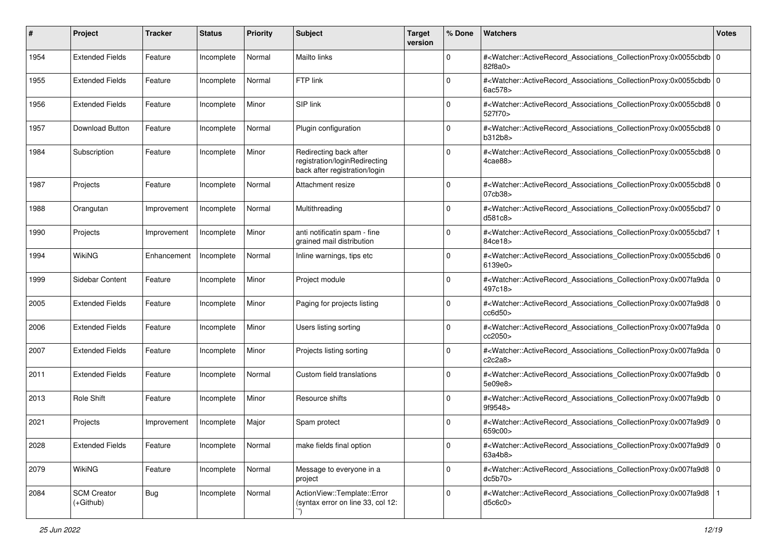| #    | Project                         | Tracker     | <b>Status</b> | <b>Priority</b> | <b>Subject</b>                                                                           | <b>Target</b><br>version | % Done      | Watchers                                                                                                                                                 | <b>Votes</b> |
|------|---------------------------------|-------------|---------------|-----------------|------------------------------------------------------------------------------------------|--------------------------|-------------|----------------------------------------------------------------------------------------------------------------------------------------------------------|--------------|
| 1954 | <b>Extended Fields</b>          | Feature     | Incomplete    | Normal          | <b>Mailto links</b>                                                                      |                          | $\mathbf 0$ | # <watcher::activerecord_associations_collectionproxy:0x0055cbdb 0<br=""  ="">82f8a0&gt;</watcher::activerecord_associations_collectionproxy:0x0055cbdb> |              |
| 1955 | <b>Extended Fields</b>          | Feature     | Incomplete    | Normal          | FTP link                                                                                 |                          | $\Omega$    | # <watcher::activerecord_associations_collectionproxy:0x0055cbdb 0<br=""  ="">6ac578&gt;</watcher::activerecord_associations_collectionproxy:0x0055cbdb> |              |
| 1956 | <b>Extended Fields</b>          | Feature     | Incomplete    | Minor           | SIP link                                                                                 |                          | $\Omega$    | # <watcher::activerecord_associations_collectionproxy:0x0055cbd8 0<br="">527f70&gt;</watcher::activerecord_associations_collectionproxy:0x0055cbd8>      |              |
| 1957 | Download Button                 | Feature     | Incomplete    | Normal          | Plugin configuration                                                                     |                          | $\mathbf 0$ | # <watcher::activerecord_associations_collectionproxy:0x0055cbd8 0<br="">b312b8&gt;</watcher::activerecord_associations_collectionproxy:0x0055cbd8>      |              |
| 1984 | Subscription                    | Feature     | Incomplete    | Minor           | Redirecting back after<br>registration/loginRedirecting<br>back after registration/login |                          | $\Omega$    | # <watcher::activerecord_associations_collectionproxy:0x0055cbd8 0<br="">4cae88&gt;</watcher::activerecord_associations_collectionproxy:0x0055cbd8>      |              |
| 1987 | Projects                        | Feature     | Incomplete    | Normal          | Attachment resize                                                                        |                          | $\Omega$    | # <watcher::activerecord_associations_collectionproxy:0x0055cbd8 0<br=""  ="">07cb38&gt;</watcher::activerecord_associations_collectionproxy:0x0055cbd8> |              |
| 1988 | Orangutan                       | Improvement | Incomplete    | Normal          | Multithreading                                                                           |                          | $\Omega$    | # <watcher::activerecord_associations_collectionproxy:0x0055cbd7 0<br="">d581c8&gt;</watcher::activerecord_associations_collectionproxy:0x0055cbd7>      |              |
| 1990 | Projects                        | Improvement | Incomplete    | Minor           | anti notificatin spam - fine<br>grained mail distribution                                |                          | $\Omega$    | # <watcher::activerecord_associations_collectionproxy:0x0055cbd7<br>84ce18&gt;</watcher::activerecord_associations_collectionproxy:0x0055cbd7<br>        |              |
| 1994 | WikiNG                          | Enhancement | Incomplete    | Normal          | Inline warnings, tips etc                                                                |                          | $\Omega$    | # <watcher::activerecord_associations_collectionproxy:0x0055cbd6 0<br="">6139e0&gt;</watcher::activerecord_associations_collectionproxy:0x0055cbd6>      |              |
| 1999 | Sidebar Content                 | Feature     | Incomplete    | Minor           | Project module                                                                           |                          | $\Omega$    | # <watcher::activerecord_associations_collectionproxy:0x007fa9da 0<br=""  ="">497c18&gt;</watcher::activerecord_associations_collectionproxy:0x007fa9da> |              |
| 2005 | <b>Extended Fields</b>          | Feature     | Incomplete    | Minor           | Paging for projects listing                                                              |                          | $\Omega$    | # <watcher::activerecord_associations_collectionproxy:0x007fa9d8 0<br=""  ="">cc6d50</watcher::activerecord_associations_collectionproxy:0x007fa9d8>     |              |
| 2006 | <b>Extended Fields</b>          | Feature     | Incomplete    | Minor           | Users listing sorting                                                                    |                          | $\Omega$    | # <watcher::activerecord_associations_collectionproxy:0x007fa9da 0<br=""  ="">cc2050&gt;</watcher::activerecord_associations_collectionproxy:0x007fa9da> |              |
| 2007 | <b>Extended Fields</b>          | Feature     | Incomplete    | Minor           | Projects listing sorting                                                                 |                          | $\Omega$    | # <watcher::activerecord_associations_collectionproxy:0x007fa9da 0<br=""  ="">c2c2a8</watcher::activerecord_associations_collectionproxy:0x007fa9da>     |              |
| 2011 | <b>Extended Fields</b>          | Feature     | Incomplete    | Normal          | Custom field translations                                                                |                          | $\Omega$    | # <watcher::activerecord_associations_collectionproxy:0x007fa9db  <br="">5e09e8&gt;</watcher::activerecord_associations_collectionproxy:0x007fa9db>      | 0            |
| 2013 | Role Shift                      | Feature     | Incomplete    | Minor           | Resource shifts                                                                          |                          | $\Omega$    | # <watcher::activerecord_associations_collectionproxy:0x007fa9db  <br="">9f9548&gt;</watcher::activerecord_associations_collectionproxy:0x007fa9db>      | $\mathbf 0$  |
| 2021 | Projects                        | Improvement | Incomplete    | Major           | Spam protect                                                                             |                          | 0           | # <watcher::activerecord_associations_collectionproxy:0x007fa9d9  <br="">659c00&gt;</watcher::activerecord_associations_collectionproxy:0x007fa9d9>      | $\mathbf 0$  |
| 2028 | <b>Extended Fields</b>          | Feature     | Incomplete    | Normal          | make fields final option                                                                 |                          | $\mathbf 0$ | # <watcher::activerecord 0<br="" associations="" collectionproxy:0x007fa9d9="">63a4b8</watcher::activerecord>                                            |              |
| 2079 | WikiNG                          | Feature     | Incomplete    | Normal          | Message to everyone in a<br>project                                                      |                          | $\mathbf 0$ | # <watcher::activerecord_associations_collectionproxy:0x007fa9d8 0<br="">dc5b70&gt;</watcher::activerecord_associations_collectionproxy:0x007fa9d8>      |              |
| 2084 | <b>SCM Creator</b><br>(+Github) | <b>Bug</b>  | Incomplete    | Normal          | ActionView::Template::Error<br>(syntax error on line 33, col 12:                         |                          | $\mathbf 0$ | # <watcher::activerecord_associations_collectionproxy:0x007fa9d8  <br="">d5c6c0</watcher::activerecord_associations_collectionproxy:0x007fa9d8>          |              |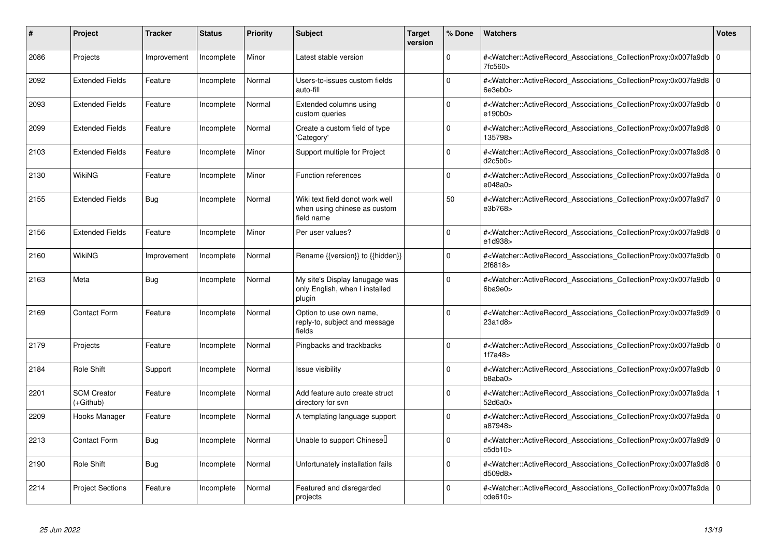| #    | <b>Project</b>                  | <b>Tracker</b> | <b>Status</b> | <b>Priority</b> | <b>Subject</b>                                                                | <b>Target</b><br>version | % Done       | <b>Watchers</b>                                                                                                                                          | <b>Votes</b>   |
|------|---------------------------------|----------------|---------------|-----------------|-------------------------------------------------------------------------------|--------------------------|--------------|----------------------------------------------------------------------------------------------------------------------------------------------------------|----------------|
| 2086 | Projects                        | Improvement    | Incomplete    | Minor           | Latest stable version                                                         |                          | $\Omega$     | # <watcher::activerecord associations="" collectionproxy:0x007fa9db<br="">7fc560&gt;</watcher::activerecord>                                             | 0              |
| 2092 | <b>Extended Fields</b>          | Feature        | Incomplete    | Normal          | Users-to-issues custom fields<br>auto-fill                                    |                          | $\Omega$     | # <watcher::activerecord_associations_collectionproxy:0x007fa9d8<br>6e3eb0&gt;</watcher::activerecord_associations_collectionproxy:0x007fa9d8<br>        | $\overline{0}$ |
| 2093 | <b>Extended Fields</b>          | Feature        | Incomplete    | Normal          | Extended columns using<br>custom queries                                      |                          | $\Omega$     | # <watcher::activerecord_associations_collectionproxy:0x007fa9db<br>e190b0&gt;</watcher::activerecord_associations_collectionproxy:0x007fa9db<br>        | l o            |
| 2099 | <b>Extended Fields</b>          | Feature        | Incomplete    | Normal          | Create a custom field of type<br>'Category'                                   |                          | $\Omega$     | # <watcher::activerecord_associations_collectionproxy:0x007fa9d8<br>135798&gt;</watcher::activerecord_associations_collectionproxy:0x007fa9d8<br>        | l O            |
| 2103 | <b>Extended Fields</b>          | Feature        | Incomplete    | Minor           | Support multiple for Project                                                  |                          | $\Omega$     | # <watcher::activerecord associations="" collectionproxy:0x007fa9d8<br="">d2c5b0</watcher::activerecord>                                                 | l O            |
| 2130 | WikiNG                          | Feature        | Incomplete    | Minor           | <b>Function references</b>                                                    |                          | $\mathbf{0}$ | # <watcher::activerecord_associations_collectionproxy:0x007fa9da<br>e048a0&gt;</watcher::activerecord_associations_collectionproxy:0x007fa9da<br>        | l O            |
| 2155 | <b>Extended Fields</b>          | Bug            | Incomplete    | Normal          | Wiki text field donot work well<br>when using chinese as custom<br>field name |                          | 50           | # <watcher::activerecord_associations_collectionproxy:0x007fa9d7<br>e3b768&gt;</watcher::activerecord_associations_collectionproxy:0x007fa9d7<br>        | l o            |
| 2156 | <b>Extended Fields</b>          | Feature        | Incomplete    | Minor           | Per user values?                                                              |                          | $\mathbf 0$  | # <watcher::activerecord_associations_collectionproxy:0x007fa9d8<br>e1d938&gt;</watcher::activerecord_associations_collectionproxy:0x007fa9d8<br>        | l O            |
| 2160 | <b>WikiNG</b>                   | Improvement    | Incomplete    | Normal          | Rename {{version}} to {{hidden}}                                              |                          | $\mathbf 0$  | # <watcher::activerecord_associations_collectionproxy:0x007fa9db<br>2f6818&gt;</watcher::activerecord_associations_collectionproxy:0x007fa9db<br>        | 0              |
| 2163 | Meta                            | Bug            | Incomplete    | Normal          | My site's Display lanugage was<br>only English, when I installed<br>plugin    |                          | $\mathbf 0$  | # <watcher::activerecord_associations_collectionproxy:0x007fa9db<br>6ba9e0&gt;</watcher::activerecord_associations_collectionproxy:0x007fa9db<br>        | l o            |
| 2169 | <b>Contact Form</b>             | Feature        | Incomplete    | Normal          | Option to use own name,<br>reply-to, subject and message<br>fields            |                          | $\Omega$     | # <watcher::activerecord_associations_collectionproxy:0x007fa9d9<br>23a1d8</watcher::activerecord_associations_collectionproxy:0x007fa9d9<br>            | 0              |
| 2179 | Projects                        | Feature        | Incomplete    | Normal          | Pingbacks and trackbacks                                                      |                          | $\Omega$     | # <watcher::activerecord_associations_collectionproxy:0x007fa9db<br>1f7a48</watcher::activerecord_associations_collectionproxy:0x007fa9db<br>            | $\overline{0}$ |
| 2184 | Role Shift                      | Support        | Incomplete    | Normal          | Issue visibility                                                              |                          | $\Omega$     | # <watcher::activerecord_associations_collectionproxy:0x007fa9db<br>b8aba0</watcher::activerecord_associations_collectionproxy:0x007fa9db<br>            | 0 I            |
| 2201 | <b>SCM Creator</b><br>(+Github) | Feature        | Incomplete    | Normal          | Add feature auto create struct<br>directory for svn                           |                          | $\Omega$     | # <watcher::activerecord_associations_collectionproxy:0x007fa9da<br>52d6a0&gt;</watcher::activerecord_associations_collectionproxy:0x007fa9da<br>        |                |
| 2209 | Hooks Manager                   | Feature        | Incomplete    | Normal          | A templating language support                                                 |                          | $\Omega$     | # <watcher::activerecord_associations_collectionproxy:0x007fa9da 0<br=""  ="">a87948&gt;</watcher::activerecord_associations_collectionproxy:0x007fa9da> |                |
| 2213 | <b>Contact Form</b>             | Bug            | Incomplete    | Normal          | Unable to support Chinese <sup>[]</sup>                                       |                          | $\Omega$     | # <watcher::activerecord associations="" collectionproxy:0x007fa9d9<br="">c5db10</watcher::activerecord>                                                 | 0              |
| 2190 | <b>Role Shift</b>               | Bug            | Incomplete    | Normal          | Unfortunately installation fails                                              |                          | $\Omega$     | # <watcher::activerecord associations="" collectionproxy:0x007fa9d8<br="">d509d8&gt;</watcher::activerecord>                                             | $\overline{0}$ |
| 2214 | <b>Project Sections</b>         | Feature        | Incomplete    | Normal          | Featured and disregarded<br>projects                                          |                          | $\Omega$     | # <watcher::activerecord_associations_collectionproxy:0x007fa9da<br>cde610&gt;</watcher::activerecord_associations_collectionproxy:0x007fa9da<br>        | l O            |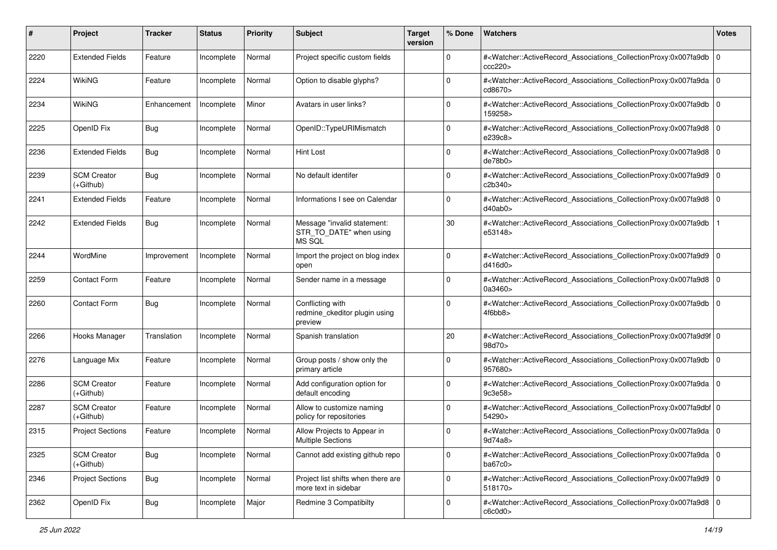| #    | Project                         | <b>Tracker</b> | <b>Status</b> | <b>Priority</b> | <b>Subject</b>                                                   | <b>Target</b><br>version | % Done      | Watchers                                                                                                                                                  | Votes          |
|------|---------------------------------|----------------|---------------|-----------------|------------------------------------------------------------------|--------------------------|-------------|-----------------------------------------------------------------------------------------------------------------------------------------------------------|----------------|
| 2220 | <b>Extended Fields</b>          | Feature        | Incomplete    | Normal          | Project specific custom fields                                   |                          | $\mathbf 0$ | # <watcher::activerecord_associations_collectionproxy:0x007fa9db<br>ccc220</watcher::activerecord_associations_collectionproxy:0x007fa9db<br>             | $\overline{0}$ |
| 2224 | <b>WikiNG</b>                   | Feature        | Incomplete    | Normal          | Option to disable glyphs?                                        |                          | $\Omega$    | # <watcher::activerecord_associations_collectionproxy:0x007fa9da 0<br="">cd8670&gt;</watcher::activerecord_associations_collectionproxy:0x007fa9da>       |                |
| 2234 | WikiNG                          | Enhancement    | Incomplete    | Minor           | Avatars in user links?                                           |                          | $\Omega$    | # <watcher::activerecord_associations_collectionproxy:0x007fa9db 0<br="">159258&gt;</watcher::activerecord_associations_collectionproxy:0x007fa9db>       |                |
| 2225 | OpenID Fix                      | <b>Bug</b>     | Incomplete    | Normal          | OpenID::TypeURIMismatch                                          |                          | $\Omega$    | # <watcher::activerecord_associations_collectionproxy:0x007fa9d8 0<br="">e239c8&gt;</watcher::activerecord_associations_collectionproxy:0x007fa9d8>       |                |
| 2236 | <b>Extended Fields</b>          | <b>Bug</b>     | Incomplete    | Normal          | Hint Lost                                                        |                          | $\Omega$    | # <watcher::activerecord_associations_collectionproxy:0x007fa9d8 0<br=""  ="">de78b0&gt;</watcher::activerecord_associations_collectionproxy:0x007fa9d8>  |                |
| 2239 | <b>SCM Creator</b><br>(+Github) | <b>Bug</b>     | Incomplete    | Normal          | No default identifer                                             |                          | $\Omega$    | # <watcher::activerecord_associations_collectionproxy:0x007fa9d9 0<br=""  ="">c2b340&gt;</watcher::activerecord_associations_collectionproxy:0x007fa9d9>  |                |
| 2241 | <b>Extended Fields</b>          | Feature        | Incomplete    | Normal          | Informations I see on Calendar                                   |                          | $\Omega$    | # <watcher::activerecord_associations_collectionproxy:0x007fa9d8 0<br="">d40ab0&gt;</watcher::activerecord_associations_collectionproxy:0x007fa9d8>       |                |
| 2242 | <b>Extended Fields</b>          | <b>Bug</b>     | Incomplete    | Normal          | Message "invalid statement:<br>STR_TO_DATE" when using<br>MS SQL |                          | 30          | # <watcher::activerecord_associations_collectionproxy:0x007fa9db<br>e53148&gt;</watcher::activerecord_associations_collectionproxy:0x007fa9db<br>         |                |
| 2244 | WordMine                        | Improvement    | Incomplete    | Normal          | Import the project on blog index<br>open                         |                          | $\mathbf 0$ | # <watcher::activerecord_associations_collectionproxy:0x007fa9d9 0<br=""  ="">d416d0&gt;</watcher::activerecord_associations_collectionproxy:0x007fa9d9>  |                |
| 2259 | <b>Contact Form</b>             | Feature        | Incomplete    | Normal          | Sender name in a message                                         |                          | $\Omega$    | # <watcher::activerecord_associations_collectionproxy:0x007fa9d8 0<br=""  ="">0a3460&gt;</watcher::activerecord_associations_collectionproxy:0x007fa9d8>  |                |
| 2260 | <b>Contact Form</b>             | <b>Bug</b>     | Incomplete    | Normal          | Conflicting with<br>redmine_ckeditor plugin using<br>preview     |                          | $\Omega$    | # <watcher::activerecord_associations_collectionproxy:0x007fa9db 0<br=""  ="">4f6bb8</watcher::activerecord_associations_collectionproxy:0x007fa9db>      |                |
| 2266 | Hooks Manager                   | Translation    | Incomplete    | Normal          | Spanish translation                                              |                          | 20          | # <watcher::activerecord_associations_collectionproxy:0x007fa9d9f 0<br=""  ="">98d70&gt;</watcher::activerecord_associations_collectionproxy:0x007fa9d9f> |                |
| 2276 | Language Mix                    | Feature        | Incomplete    | Normal          | Group posts / show only the<br>primary article                   |                          | $\Omega$    | # <watcher::activerecord_associations_collectionproxy:0x007fa9db 0<br=""  ="">957680&gt;</watcher::activerecord_associations_collectionproxy:0x007fa9db>  |                |
| 2286 | <b>SCM Creator</b><br>(+Github) | Feature        | Incomplete    | Normal          | Add configuration option for<br>default encoding                 |                          | $\Omega$    | # <watcher::activerecord_associations_collectionproxy:0x007fa9da 0<br=""  ="">9c3e58&gt;</watcher::activerecord_associations_collectionproxy:0x007fa9da>  |                |
| 2287 | <b>SCM Creator</b><br>(+Github) | Feature        | Incomplete    | Normal          | Allow to customize naming<br>policy for repositories             |                          | $\Omega$    | # <watcher::activerecord_associations_collectionproxy:0x007fa9dbf 0<br=""  ="">54290&gt;</watcher::activerecord_associations_collectionproxy:0x007fa9dbf> |                |
| 2315 | <b>Project Sections</b>         | Feature        | Incomplete    | Normal          | Allow Projects to Appear in<br><b>Multiple Sections</b>          |                          | $\Omega$    | # <watcher::activerecord_associations_collectionproxy:0x007fa9da 0<br="">9d74a8&gt;</watcher::activerecord_associations_collectionproxy:0x007fa9da>       |                |
| 2325 | <b>SCM Creator</b><br>(+Github) | Bug            | Incomplete    | Normal          | Cannot add existing github repo                                  |                          | $\mathbf 0$ | # <watcher::activerecord_associations_collectionproxy:0x007fa9da 0<br=""  ="">ba67c0</watcher::activerecord_associations_collectionproxy:0x007fa9da>      |                |
| 2346 | <b>Project Sections</b>         | Bug            | Incomplete    | Normal          | Project list shifts when there are<br>more text in sidebar       |                          | $\mathbf 0$ | # <watcher::activerecord_associations_collectionproxy:0x007fa9d9 0<br="">518170&gt;</watcher::activerecord_associations_collectionproxy:0x007fa9d9>       |                |
| 2362 | OpenID Fix                      | <b>Bug</b>     | Incomplete    | Major           | Redmine 3 Compatibilty                                           |                          | 0           | # <watcher::activerecord_associations_collectionproxy:0x007fa9d8 0<br=""  ="">cc6c0d0&gt;</watcher::activerecord_associations_collectionproxy:0x007fa9d8> |                |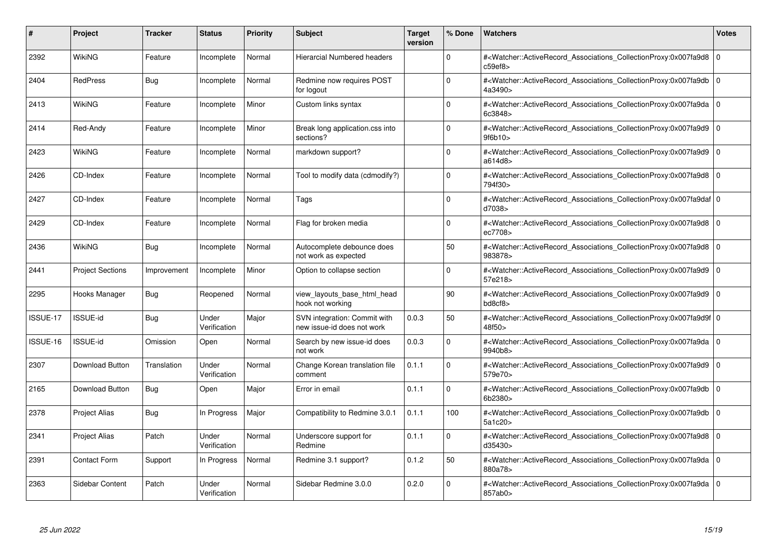| ∦        | Project                 | <b>Tracker</b> | <b>Status</b>         | <b>Priority</b> | <b>Subject</b>                                             | <b>Target</b><br>version | % Done       | <b>Watchers</b>                                                                                                                                          | <b>Votes</b>   |
|----------|-------------------------|----------------|-----------------------|-----------------|------------------------------------------------------------|--------------------------|--------------|----------------------------------------------------------------------------------------------------------------------------------------------------------|----------------|
| 2392     | <b>WikiNG</b>           | Feature        | Incomplete            | Normal          | <b>Hierarcial Numbered headers</b>                         |                          | $\Omega$     | # <watcher::activerecord associations="" collectionproxy:0x007fa9d8<br="">c59ef8&gt;</watcher::activerecord>                                             | l 0            |
| 2404     | <b>RedPress</b>         | Bug            | Incomplete            | Normal          | Redmine now requires POST<br>for logout                    |                          | $\Omega$     | # <watcher::activerecord 0<br="" associations="" collectionproxy:0x007fa9db=""  ="">4a3490&gt;</watcher::activerecord>                                   |                |
| 2413     | <b>WikiNG</b>           | Feature        | Incomplete            | Minor           | Custom links syntax                                        |                          | $\mathbf 0$  | # <watcher::activerecord_associations_collectionproxy:0x007fa9da 0<br=""  ="">6c3848&gt;</watcher::activerecord_associations_collectionproxy:0x007fa9da> |                |
| 2414     | Red-Andy                | Feature        | Incomplete            | Minor           | Break long application.css into<br>sections?               |                          | $\Omega$     | # <watcher::activerecord_associations_collectionproxy:0x007fa9d9 0<br=""  ="">9f6b10&gt;</watcher::activerecord_associations_collectionproxy:0x007fa9d9> |                |
| 2423     | WikiNG                  | Feature        | Incomplete            | Normal          | markdown support?                                          |                          | $\Omega$     | # <watcher::activerecord 0<br="" associations="" collectionproxy:0x007fa9d9=""  ="">a614d8&gt;</watcher::activerecord>                                   |                |
| 2426     | CD-Index                | Feature        | Incomplete            | Normal          | Tool to modify data (cdmodify?)                            |                          | $\Omega$     | # <watcher::activerecord_associations_collectionproxy:0x007fa9d8 0<br="">794f30&gt;</watcher::activerecord_associations_collectionproxy:0x007fa9d8>      |                |
| 2427     | CD-Index                | Feature        | Incomplete            | Normal          | Tags                                                       |                          | $\Omega$     | # <watcher::activerecord_associations_collectionproxy:0x007fa9daf 0<br="">d7038&gt;</watcher::activerecord_associations_collectionproxy:0x007fa9daf>     |                |
| 2429     | CD-Index                | Feature        | Incomplete            | Normal          | Flag for broken media                                      |                          | $\Omega$     | # <watcher::activerecord_associations_collectionproxy:0x007fa9d8 0<br=""  ="">ec7708&gt;</watcher::activerecord_associations_collectionproxy:0x007fa9d8> |                |
| 2436     | WikiNG                  | Bug            | Incomplete            | Normal          | Autocomplete debounce does<br>not work as expected         |                          | 50           | # <watcher::activerecord 0<br="" associations="" collectionproxy:0x007fa9d8=""  ="">983878&gt;</watcher::activerecord>                                   |                |
| 2441     | <b>Project Sections</b> | Improvement    | Incomplete            | Minor           | Option to collapse section                                 |                          | $\mathbf{0}$ | # <watcher::activerecord_associations_collectionproxy:0x007fa9d9 0<br=""  ="">57e218&gt;</watcher::activerecord_associations_collectionproxy:0x007fa9d9> |                |
| 2295     | Hooks Manager           | <b>Bug</b>     | Reopened              | Normal          | view layouts base html head<br>hook not working            |                          | 90           | # <watcher::activerecord_associations_collectionproxy:0x007fa9d9 0<br=""  ="">bd8cf8&gt;</watcher::activerecord_associations_collectionproxy:0x007fa9d9> |                |
| ISSUE-17 | ISSUE-id                | Bug            | Under<br>Verification | Major           | SVN integration: Commit with<br>new issue-id does not work | 0.0.3                    | 50           | # <watcher::activerecord 0<br="" associations="" collectionproxy:0x007fa9d9f=""  ="">48f50&gt;</watcher::activerecord>                                   |                |
| ISSUE-16 | <b>ISSUE-id</b>         | Omission       | Open                  | Normal          | Search by new issue-id does<br>not work                    | 0.0.3                    | $\mathbf 0$  | # <watcher::activerecord 0<br="" associations="" collectionproxy:0x007fa9da=""  ="">9940b8&gt;</watcher::activerecord>                                   |                |
| 2307     | Download Button         | Translation    | Under<br>Verification | Normal          | Change Korean translation file<br>comment                  | 0.1.1                    | $\Omega$     | # <watcher::activerecord_associations_collectionproxy:0x007fa9d9<br>579e70&gt;</watcher::activerecord_associations_collectionproxy:0x007fa9d9<br>        | 0              |
| 2165     | Download Button         | Bug            | Open                  | Major           | Error in email                                             | 0.1.1                    | $\Omega$     | # <watcher::activerecord_associations_collectionproxy:0x007fa9db 0<br=""  ="">6b2380&gt;</watcher::activerecord_associations_collectionproxy:0x007fa9db> |                |
| 2378     | <b>Project Alias</b>    | Bug            | In Progress           | Major           | Compatibility to Redmine 3.0.1                             | 0.1.1                    | 100          | # <watcher::activerecord associations="" collectionproxy:0x007fa9db<br="">5a1c20&gt;</watcher::activerecord>                                             | $\overline{0}$ |
| 2341     | <b>Project Alias</b>    | Patch          | Under<br>Verification | Normal          | Underscore support for<br>Redmine                          | 0.1.1                    | $\mathbf 0$  | # <watcher::activerecord_associations_collectionproxy:0x007fa9d8 0<br=""  ="">d35430&gt;</watcher::activerecord_associations_collectionproxy:0x007fa9d8> |                |
| 2391     | Contact Form            | Support        | In Progress           | Normal          | Redmine 3.1 support?                                       | 0.1.2                    | 50           | # <watcher::activerecord_associations_collectionproxy:0x007fa9da<br>880a78&gt;</watcher::activerecord_associations_collectionproxy:0x007fa9da<br>        | 0              |
| 2363     | Sidebar Content         | Patch          | Under<br>Verification | Normal          | Sidebar Redmine 3.0.0                                      | 0.2.0                    | $\Omega$     | # <watcher::activerecord 0<br="" associations="" collectionproxy:0x007fa9da=""  ="">857ab0&gt;</watcher::activerecord>                                   |                |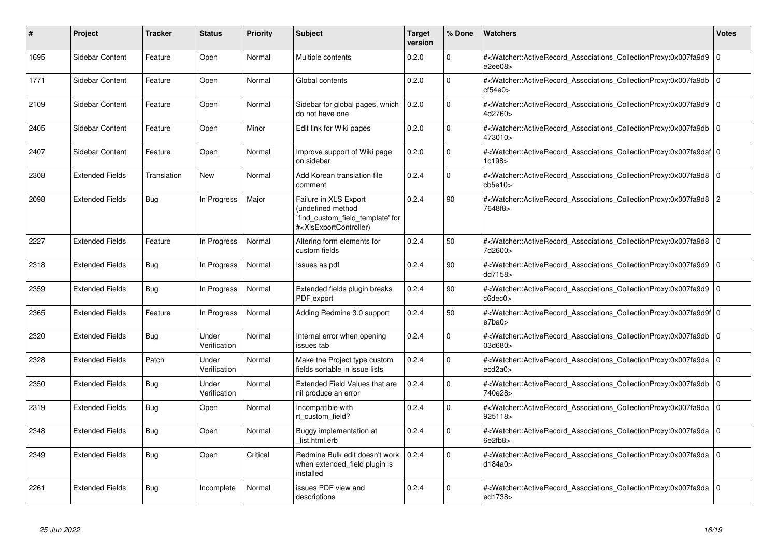| #    | Project                | <b>Tracker</b>     | <b>Status</b>         | <b>Priority</b> | <b>Subject</b>                                                                                                                                                                                                                                                                                                                        | <b>Target</b><br>version | % Done   | Watchers                                                                                                                                                  | Votes          |
|------|------------------------|--------------------|-----------------------|-----------------|---------------------------------------------------------------------------------------------------------------------------------------------------------------------------------------------------------------------------------------------------------------------------------------------------------------------------------------|--------------------------|----------|-----------------------------------------------------------------------------------------------------------------------------------------------------------|----------------|
| 1695 | Sidebar Content        | Feature            | Open                  | Normal          | Multiple contents                                                                                                                                                                                                                                                                                                                     | 0.2.0                    | $\Omega$ | # <watcher::activerecord associations="" collectionproxy:0x007fa9d9<br="">e2ee08&gt;</watcher::activerecord>                                              | $\overline{0}$ |
| 1771 | Sidebar Content        | Feature            | Open                  | Normal          | Global contents                                                                                                                                                                                                                                                                                                                       | 0.2.0                    | $\Omega$ | # <watcher::activerecord 0<br="" associations="" collectionproxy:0x007fa9db=""  ="">cf54e0</watcher::activerecord>                                        |                |
| 2109 | Sidebar Content        | Feature            | Open                  | Normal          | Sidebar for global pages, which<br>do not have one                                                                                                                                                                                                                                                                                    | 0.2.0                    | $\Omega$ | # <watcher::activerecord_associations_collectionproxy:0x007fa9d9<br>4d2760&gt;</watcher::activerecord_associations_collectionproxy:0x007fa9d9<br>         | $\overline{0}$ |
| 2405 | Sidebar Content        | Feature            | Open                  | Minor           | Edit link for Wiki pages                                                                                                                                                                                                                                                                                                              | 0.2.0                    | $\Omega$ | # <watcher::activerecord_associations_collectionproxy:0x007fa9db 0<br=""  ="">473010&gt;</watcher::activerecord_associations_collectionproxy:0x007fa9db>  |                |
| 2407 | Sidebar Content        | Feature            | Open                  | Normal          | Improve support of Wiki page<br>on sidebar                                                                                                                                                                                                                                                                                            | 0.2.0                    | $\Omega$ | # <watcher::activerecord_associations_collectionproxy:0x007fa9daf 0<br=""  ="">1c198&gt;</watcher::activerecord_associations_collectionproxy:0x007fa9daf> |                |
| 2308 | <b>Extended Fields</b> | <b>Translation</b> | New                   | Normal          | Add Korean translation file<br>comment                                                                                                                                                                                                                                                                                                | 0.2.4                    | $\Omega$ | # <watcher::activerecord 0<br="" associations="" collectionproxy:0x007fa9d8=""  ="">cb5e10<sub>&gt;</sub></watcher::activerecord>                         |                |
| 2098 | <b>Extended Fields</b> | Bug                | In Progress           | Major           | Failure in XLS Export<br>(undefined method<br>find custom field template' for<br># <xlsexportcontroller)< td=""><td>0.2.4</td><td>90</td><td>#<watcher::activerecord_associations_collectionproxy:0x007fa9d8 2<br="">7648f8&gt;</watcher::activerecord_associations_collectionproxy:0x007fa9d8></td><td></td></xlsexportcontroller)<> | 0.2.4                    | 90       | # <watcher::activerecord_associations_collectionproxy:0x007fa9d8 2<br="">7648f8&gt;</watcher::activerecord_associations_collectionproxy:0x007fa9d8>       |                |
| 2227 | <b>Extended Fields</b> | Feature            | In Progress           | Normal          | Altering form elements for<br>custom fields                                                                                                                                                                                                                                                                                           | 0.2.4                    | 50       | # <watcher::activerecord 0<br="" associations="" collectionproxy:0x007fa9d8=""  ="">7d2600&gt;</watcher::activerecord>                                    |                |
| 2318 | <b>Extended Fields</b> | Bug                | In Progress           | Normal          | Issues as pdf                                                                                                                                                                                                                                                                                                                         | 0.2.4                    | 90       | # <watcher::activerecord_associations_collectionproxy:0x007fa9d9 0<br=""  ="">dd7158&gt;</watcher::activerecord_associations_collectionproxy:0x007fa9d9>  |                |
| 2359 | <b>Extended Fields</b> | Bug                | In Progress           | Normal          | Extended fields plugin breaks<br>PDF export                                                                                                                                                                                                                                                                                           | 0.2.4                    | 90       | # <watcher::activerecord 0<br="" associations="" collectionproxy:0x007fa9d9=""  ="">c6dec0</watcher::activerecord>                                        |                |
| 2365 | <b>Extended Fields</b> | Feature            | In Progress           | Normal          | Adding Redmine 3.0 support                                                                                                                                                                                                                                                                                                            | 0.2.4                    | 50       | # <watcher::activerecord 0<br="" associations="" collectionproxy:0x007fa9d9f=""  ="">e7ba0&gt;</watcher::activerecord>                                    |                |
| 2320 | <b>Extended Fields</b> | <b>Bug</b>         | Under<br>Verification | Normal          | Internal error when opening<br>issues tab                                                                                                                                                                                                                                                                                             | 0.2.4                    | $\Omega$ | # <watcher::activerecord associations="" collectionproxy:0x007fa9db<br="">03d680&gt;</watcher::activerecord>                                              | $\overline{0}$ |
| 2328 | <b>Extended Fields</b> | Patch              | Under<br>Verification | Normal          | Make the Project type custom<br>fields sortable in issue lists                                                                                                                                                                                                                                                                        | 0.2.4                    | $\Omega$ | # <watcher::activerecord_associations_collectionproxy:0x007fa9da 0<br=""  ="">ecd2a0</watcher::activerecord_associations_collectionproxy:0x007fa9da>      |                |
| 2350 | <b>Extended Fields</b> | Bug                | Under<br>Verification | Normal          | Extended Field Values that are<br>nil produce an error                                                                                                                                                                                                                                                                                | 0.2.4                    | $\Omega$ | # <watcher::activerecord associations="" collectionproxy:0x007fa9db<br="">740e28&gt;</watcher::activerecord>                                              | $\overline{0}$ |
| 2319 | <b>Extended Fields</b> | Bug                | Open                  | Normal          | Incompatible with<br>rt custom field?                                                                                                                                                                                                                                                                                                 | 0.2.4                    | $\Omega$ | # <watcher::activerecord 0<br="" associations="" collectionproxy:0x007fa9da=""  ="">925118&gt;</watcher::activerecord>                                    |                |
| 2348 | <b>Extended Fields</b> | <b>Bug</b>         | Open                  | Normal          | Buggy implementation at<br>list.html.erb                                                                                                                                                                                                                                                                                              | 0.2.4                    | $\Omega$ | # <watcher::activerecord 0<br="" associations="" collectionproxy:0x007fa9da=""  ="">6e2fb8&gt;</watcher::activerecord>                                    |                |
| 2349 | <b>Extended Fields</b> | <b>Bug</b>         | Open                  | Critical        | Redmine Bulk edit doesn't work<br>when extended field plugin is<br>installed                                                                                                                                                                                                                                                          | 0.2.4                    | $\Omega$ | # <watcher::activerecord_associations_collectionproxy:0x007fa9da 0<br="">d184a0&gt;</watcher::activerecord_associations_collectionproxy:0x007fa9da>       |                |
| 2261 | <b>Extended Fields</b> | Bug                | Incomplete            | Normal          | issues PDF view and<br>descriptions                                                                                                                                                                                                                                                                                                   | 0.2.4                    | $\Omega$ | # <watcher::activerecord_associations_collectionproxy:0x007fa9da 0<br=""  ="">ed1738&gt;</watcher::activerecord_associations_collectionproxy:0x007fa9da>  |                |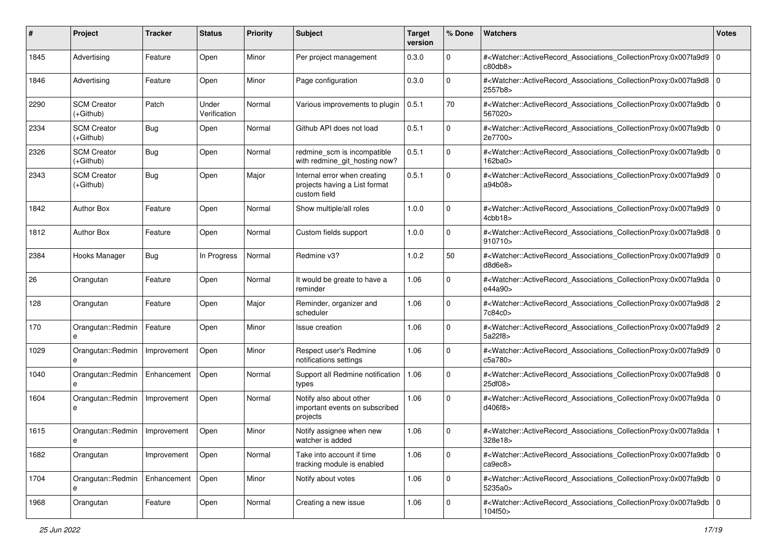| #    | Project                           | <b>Tracker</b> | <b>Status</b>         | <b>Priority</b> | <b>Subject</b>                                                                | <b>Target</b><br>version | % Done      | Watchers                                                                                                                                                 | <b>Votes</b> |
|------|-----------------------------------|----------------|-----------------------|-----------------|-------------------------------------------------------------------------------|--------------------------|-------------|----------------------------------------------------------------------------------------------------------------------------------------------------------|--------------|
| 1845 | Advertising                       | Feature        | Open                  | Minor           | Per project management                                                        | 0.3.0                    | 0           | # <watcher::activerecord_associations_collectionproxy:0x007fa9d9<br>c80db8&gt;</watcher::activerecord_associations_collectionproxy:0x007fa9d9<br>        | $\mathbf 0$  |
| 1846 | Advertising                       | Feature        | Open                  | Minor           | Page configuration                                                            | 0.3.0                    | $\mathbf 0$ | # <watcher::activerecord_associations_collectionproxy:0x007fa9d8 0<br=""  ="">2557b8&gt;</watcher::activerecord_associations_collectionproxy:0x007fa9d8> |              |
| 2290 | <b>SCM Creator</b><br>(+Github)   | Patch          | Under<br>Verification | Normal          | Various improvements to plugin                                                | 0.5.1                    | 70          | # <watcher::activerecord_associations_collectionproxy:0x007fa9db 0<br=""  ="">567020&gt;</watcher::activerecord_associations_collectionproxy:0x007fa9db> |              |
| 2334 | <b>SCM Creator</b><br>(+Github)   | Bug            | Open                  | Normal          | Github API does not load                                                      | 0.5.1                    | $\mathbf 0$ | # <watcher::activerecord_associations_collectionproxy:0x007fa9db<br>2e7700&gt;</watcher::activerecord_associations_collectionproxy:0x007fa9db<br>        | $\Omega$     |
| 2326 | <b>SCM Creator</b><br>$(+Github)$ | Bug            | Open                  | Normal          | redmine_scm is incompatible<br>with redmine_git_hosting now?                  | 0.5.1                    | $\mathbf 0$ | # <watcher::activerecord_associations_collectionproxy:0x007fa9db 0<br=""  ="">162ba0&gt;</watcher::activerecord_associations_collectionproxy:0x007fa9db> |              |
| 2343 | <b>SCM Creator</b><br>(+Github)   | Bug            | Open                  | Major           | Internal error when creating<br>projects having a List format<br>custom field | 0.5.1                    | $\mathbf 0$ | # <watcher::activerecord_associations_collectionproxy:0x007fa9d9 0<br=""  ="">a94b08&gt;</watcher::activerecord_associations_collectionproxy:0x007fa9d9> |              |
| 1842 | <b>Author Box</b>                 | Feature        | Open                  | Normal          | Show multiple/all roles                                                       | 1.0.0                    | $\Omega$    | # <watcher::activerecord_associations_collectionproxy:0x007fa9d9 0<br=""  ="">4cbb18&gt;</watcher::activerecord_associations_collectionproxy:0x007fa9d9> |              |
| 1812 | <b>Author Box</b>                 | Feature        | Open                  | Normal          | Custom fields support                                                         | 1.0.0                    | $\mathbf 0$ | # <watcher::activerecord_associations_collectionproxy:0x007fa9d8 0<br=""  ="">910710&gt;</watcher::activerecord_associations_collectionproxy:0x007fa9d8> |              |
| 2384 | Hooks Manager                     | Bug            | In Progress           | Normal          | Redmine v3?                                                                   | 1.0.2                    | 50          | # <watcher::activerecord_associations_collectionproxy:0x007fa9d9<br>d8d6e8&gt;</watcher::activerecord_associations_collectionproxy:0x007fa9d9<br>        | l O          |
| 26   | Orangutan                         | Feature        | Open                  | Normal          | It would be greate to have a<br>reminder                                      | 1.06                     | $\mathbf 0$ | # <watcher::activerecord_associations_collectionproxy:0x007fa9da 0<br=""  ="">e44a90&gt;</watcher::activerecord_associations_collectionproxy:0x007fa9da> |              |
| 128  | Orangutan                         | Feature        | Open                  | Major           | Reminder, organizer and<br>scheduler                                          | 1.06                     | $\Omega$    | # <watcher::activerecord_associations_collectionproxy:0x007fa9d8<br>7c84c0&gt;</watcher::activerecord_associations_collectionproxy:0x007fa9d8<br>        | 2            |
| 170  | Orangutan::Redmin<br>e            | Feature        | Open                  | Minor           | Issue creation                                                                | 1.06                     | $\mathbf 0$ | # <watcher::activerecord_associations_collectionproxy:0x007fa9d9 2<br="">5a22f8&gt;</watcher::activerecord_associations_collectionproxy:0x007fa9d9>      |              |
| 1029 | Orangutan::Redmin<br>e            | Improvement    | Open                  | Minor           | Respect user's Redmine<br>notifications settings                              | 1.06                     | 0           | # <watcher::activerecord_associations_collectionproxy:0x007fa9d9 0<br=""  ="">c5a780&gt;</watcher::activerecord_associations_collectionproxy:0x007fa9d9> |              |
| 1040 | Orangutan::Redmin                 | Enhancement    | Open                  | Normal          | Support all Redmine notification<br>types                                     | 1.06                     | 0           | # <watcher::activerecord_associations_collectionproxy:0x007fa9d8 0<br=""  ="">25df08&gt;</watcher::activerecord_associations_collectionproxy:0x007fa9d8> |              |
| 1604 | Orangutan::Redmin<br>e            | Improvement    | Open                  | Normal          | Notify also about other<br>important events on subscribed<br>projects         | 1.06                     | 0           | # <watcher::activerecord_associations_collectionproxy:0x007fa9da 0<br=""  ="">d406f8&gt;</watcher::activerecord_associations_collectionproxy:0x007fa9da> |              |
| 1615 | Orangutan::Redmin                 | Improvement    | Open                  | Minor           | Notify assignee when new<br>watcher is added                                  | 1.06                     | 0           | # <watcher::activerecord_associations_collectionproxy:0x007fa9da<br>328e18&gt;</watcher::activerecord_associations_collectionproxy:0x007fa9da<br>        |              |
| 1682 | Orangutan                         | Improvement    | Open                  | Normal          | Take into account if time<br>tracking module is enabled                       | 1.06                     | 0           | # <watcher::activerecord 0<br="" associations="" collectionproxy:0x007fa9db="">ca9ec8&gt;</watcher::activerecord>                                        |              |
| 1704 | Orangutan::Redmin<br>e            | Enhancement    | Open                  | Minor           | Notify about votes                                                            | 1.06                     | $\mathbf 0$ | # <watcher::activerecord_associations_collectionproxy:0x007fa9db 0<br=""  ="">5235a0&gt;</watcher::activerecord_associations_collectionproxy:0x007fa9db> |              |
| 1968 | Orangutan                         | Feature        | Open                  | Normal          | Creating a new issue                                                          | 1.06                     | $\mathbf 0$ | # <watcher::activerecord_associations_collectionproxy:0x007fa9db 0<br=""  ="">104f50&gt;</watcher::activerecord_associations_collectionproxy:0x007fa9db> |              |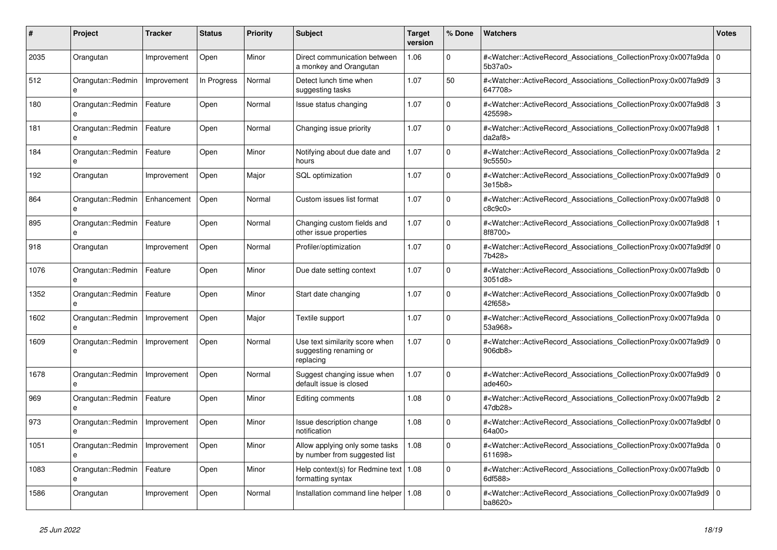| #    | <b>Project</b>                    | <b>Tracker</b> | <b>Status</b> | <b>Priority</b> | <b>Subject</b>                                                        | <b>Target</b><br>version | % Done   | <b>Watchers</b>                                                                                                                                                   | <b>Votes</b>   |
|------|-----------------------------------|----------------|---------------|-----------------|-----------------------------------------------------------------------|--------------------------|----------|-------------------------------------------------------------------------------------------------------------------------------------------------------------------|----------------|
| 2035 | Orangutan                         | Improvement    | Open          | Minor           | Direct communication between<br>a monkey and Orangutan                | 1.06                     | $\Omega$ | # <watcher::activerecord_associations_collectionproxy:0x007fa9da  <br="">5b37a0&gt;</watcher::activerecord_associations_collectionproxy:0x007fa9da>               | $\Omega$       |
| 512  | Orangutan::Redmin<br>e            | Improvement    | In Progress   | Normal          | Detect lunch time when<br>suggesting tasks                            | 1.07                     | 50       | # <watcher::activerecord_associations_collectionproxy:0x007fa9d9<br>647708&gt;</watcher::activerecord_associations_collectionproxy:0x007fa9d9<br>                 | 3              |
| 180  | Orangutan::Redmin<br>$\mathbf{a}$ | Feature        | Open          | Normal          | Issue status changing                                                 | 1.07                     | $\Omega$ | # <watcher::activerecord_associations_collectionproxy:0x007fa9d8 3<br="">425598&gt;</watcher::activerecord_associations_collectionproxy:0x007fa9d8>               |                |
| 181  | Orangutan::Redmin                 | Feature        | Open          | Normal          | Changing issue priority                                               | 1.07                     | $\Omega$ | # <watcher::activerecord_associations_collectionproxy:0x007fa9d8<br>da2af8</watcher::activerecord_associations_collectionproxy:0x007fa9d8<br>                     |                |
| 184  | Orangutan::Redmin<br>e            | Feature        | Open          | Minor           | Notifying about due date and<br>hours                                 | 1.07                     | $\Omega$ | # <watcher::activerecord_associations_collectionproxy:0x007fa9da  <br="">9c5550&gt;</watcher::activerecord_associations_collectionproxy:0x007fa9da>               | $\overline{2}$ |
| 192  | Orangutan                         | Improvement    | Open          | Major           | <b>SQL</b> optimization                                               | 1.07                     | $\Omega$ | # <watcher::activerecord_associations_collectionproxy:0x007fa9d9 0<br=""  ="">3e15b8&gt;</watcher::activerecord_associations_collectionproxy:0x007fa9d9>          |                |
| 864  | Orangutan::Redmin<br>$\mathbf{a}$ | Enhancement    | Open          | Normal          | Custom issues list format                                             | 1.07                     | $\Omega$ | # <watcher::activerecord associations="" collectionproxy:0x007fa9d8<br="">c8c9c0</watcher::activerecord>                                                          | $\Omega$       |
| 895  | Orangutan::Redmin<br>e            | Feature        | Open          | Normal          | Changing custom fields and<br>other issue properties                  | 1.07                     | $\Omega$ | # <watcher::activerecord_associations_collectionproxy:0x007fa9d8<br>8f8700&gt;</watcher::activerecord_associations_collectionproxy:0x007fa9d8<br>                 |                |
| 918  | Orangutan                         | Improvement    | Open          | Normal          | Profiler/optimization                                                 | 1.07                     | $\Omega$ | # <watcher::activerecord_associations_collectionproxy:0x007fa9d9f 0<br=""  ="">7b428&gt;</watcher::activerecord_associations_collectionproxy:0x007fa9d9f>         |                |
| 1076 | Orangutan::Redmin                 | Feature        | Open          | Minor           | Due date setting context                                              | 1.07                     | $\Omega$ | # <watcher::activerecord associations="" collectionproxy:0x007fa9db<br="">3051d8</watcher::activerecord>                                                          | $\mathbf 0$    |
| 1352 | Orangutan::Redmin<br>e            | Feature        | Open          | Minor           | Start date changing                                                   | 1.07                     | $\Omega$ | # <watcher::activerecord_associations_collectionproxy:0x007fa9db  <br="">42f658&gt;</watcher::activerecord_associations_collectionproxy:0x007fa9db>               | $\Omega$       |
| 1602 | Orangutan::Redmin                 | Improvement    | Open          | Major           | Textile support                                                       | 1.07                     | $\Omega$ | # <watcher::activerecord associations="" collectionproxy:0x007fa9da<br="">53a968&gt;</watcher::activerecord>                                                      | $\mathbf 0$    |
| 1609 | Orangutan::Redmin<br>e            | Improvement    | Open          | Normal          | Use text similarity score when<br>suggesting renaming or<br>replacing | 1.07                     | $\Omega$ | # <watcher::activerecord associations="" collectionproxy:0x007fa9d9<br="">906db8&gt;</watcher::activerecord>                                                      | $\Omega$       |
| 1678 | Orangutan::Redmin<br>e            | Improvement    | Open          | Normal          | Suggest changing issue when<br>default issue is closed                | 1.07                     | $\Omega$ | # <watcher::activerecord_associations_collectionproxy:0x007fa9d9 0<br=""  ="">ade<math>460</math></watcher::activerecord_associations_collectionproxy:0x007fa9d9> |                |
| 969  | Orangutan::Redmin<br>e            | Feature        | Open          | Minor           | Editing comments                                                      | 1.08                     | $\Omega$ | # <watcher::activerecord associations="" collectionproxy:0x007fa9db<br="">47db28&gt;</watcher::activerecord>                                                      | 2              |
| 973  | Orangutan::Redmin<br>e            | Improvement    | Open          | Minor           | Issue description change<br>notification                              | 1.08                     | $\Omega$ | # <watcher::activerecord_associations_collectionproxy:0x007fa9dbf 0<br=""  ="">64a00&gt;</watcher::activerecord_associations_collectionproxy:0x007fa9dbf>         |                |
| 1051 | Orangutan::Redmin                 | Improvement    | Open          | Minor           | Allow applying only some tasks<br>by number from suggested list       | 1.08                     | $\Omega$ | # <watcher::activerecord_associations_collectionproxy:0x007fa9da 0<br=""  ="">611698&gt;</watcher::activerecord_associations_collectionproxy:0x007fa9da>          |                |
| 1083 | Orangutan::Redmin                 | Feature        | Open          | Minor           | Help context(s) for Redmine text   1.08<br>formatting syntax          |                          | $\Omega$ | # <watcher::activerecord associations="" collectionproxy:0x007fa9db<br="">6df588&gt;</watcher::activerecord>                                                      | $\mathbf 0$    |
| 1586 | Orangutan                         | Improvement    | Open          | Normal          | Installation command line helper   1.08                               |                          | $\Omega$ | # <watcher::activerecord_associations_collectionproxy:0x007fa9d9<br>ba8620&gt;</watcher::activerecord_associations_collectionproxy:0x007fa9d9<br>                 | $\mathbf 0$    |